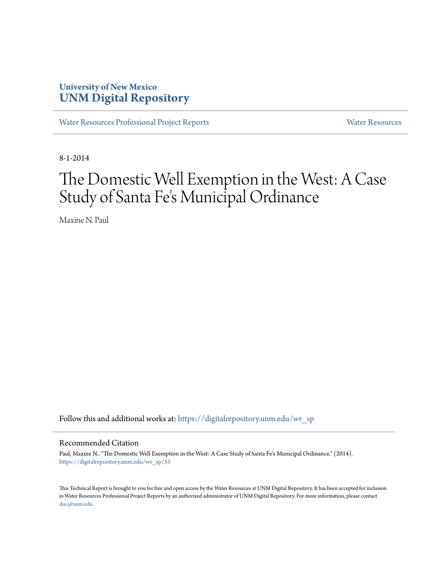## **University of New Mexico [UNM Digital Repository](https://digitalrepository.unm.edu?utm_source=digitalrepository.unm.edu%2Fwr_sp%2F55&utm_medium=PDF&utm_campaign=PDFCoverPages)**

[Water Resources Professional Project Reports](https://digitalrepository.unm.edu/wr_sp?utm_source=digitalrepository.unm.edu%2Fwr_sp%2F55&utm_medium=PDF&utm_campaign=PDFCoverPages) **[Water Resources](https://digitalrepository.unm.edu/wr?utm_source=digitalrepository.unm.edu%2Fwr_sp%2F55&utm_medium=PDF&utm_campaign=PDFCoverPages)** Water Resources

8-1-2014

# The Domestic Well Exemption in the West: A Case Study of Santa Fe 's Municipal Ordinance

Maxine N. Paul

Follow this and additional works at: [https://digitalrepository.unm.edu/wr\\_sp](https://digitalrepository.unm.edu/wr_sp?utm_source=digitalrepository.unm.edu%2Fwr_sp%2F55&utm_medium=PDF&utm_campaign=PDFCoverPages)

#### Recommended Citation

Paul, Maxine N.. "The Domestic Well Exemption in the West: A Case Study of Santa Fe's Municipal Ordinance." (2014). [https://digitalrepository.unm.edu/wr\\_sp/55](https://digitalrepository.unm.edu/wr_sp/55?utm_source=digitalrepository.unm.edu%2Fwr_sp%2F55&utm_medium=PDF&utm_campaign=PDFCoverPages)

This Technical Report is brought to you for free and open access by the Water Resources at UNM Digital Repository. It has been accepted for inclusion in Water Resources Professional Project Reports by an authorized administrator of UNM Digital Repository. For more information, please contact [disc@unm.edu](mailto:disc@unm.edu).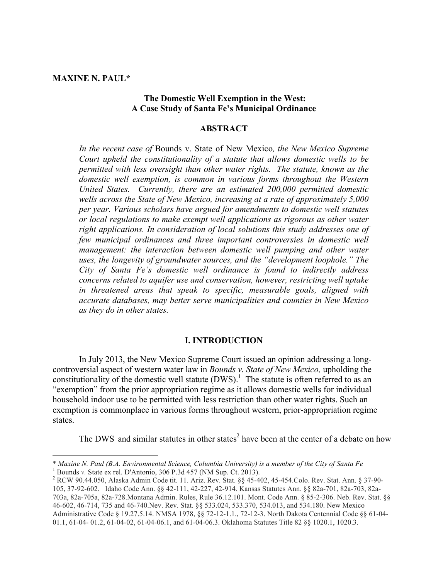**MAXINE N. PAUL\***

 

#### **The Domestic Well Exemption in the West: A Case Study of Santa Fe's Municipal Ordinance**

#### **ABSTRACT**

*In the recent case of* Bounds v. State of New Mexico*, the New Mexico Supreme Court upheld the constitutionality of a statute that allows domestic wells to be permitted with less oversight than other water rights. The statute, known as the domestic well exemption, is common in various forms throughout the Western United States. Currently, there are an estimated 200,000 permitted domestic wells across the State of New Mexico, increasing at a rate of approximately 5,000 per year. Various scholars have argued for amendments to domestic well statutes or local regulations to make exempt well applications as rigorous as other water right applications. In consideration of local solutions this study addresses one of few municipal ordinances and three important controversies in domestic well management: the interaction between domestic well pumping and other water uses, the longevity of groundwater sources, and the "development loophole." The City of Santa Fe's domestic well ordinance is found to indirectly address concerns related to aquifer use and conservation, however, restricting well uptake in threatened areas that speak to specific, measurable goals, aligned with accurate databases, may better serve municipalities and counties in New Mexico as they do in other states.*

#### **I. INTRODUCTION**

In July 2013, the New Mexico Supreme Court issued an opinion addressing a longcontroversial aspect of western water law in *Bounds v. State of New Mexico,* upholding the constitutionality of the domestic well statute  $(DWS)$ .<sup>1</sup> The statute is often referred to as an "exemption" from the prior appropriation regime as it allows domestic wells for individual household indoor use to be permitted with less restriction than other water rights. Such an exemption is commonplace in various forms throughout western, prior-appropriation regime states.

The DWS and similar statutes in other states<sup>2</sup> have been at the center of a debate on how

<sup>\*</sup> *Maxine N. Paul (B.A. Environmental Science, Columbia University) is a member of the City of Santa Fe*<br><sup>1</sup> Bounds *v.* State ex rel. D'Antonio, 306 P.3d 457 (NM Sup. Ct. 2013).<br><sup>2</sup> RCW 90.44.050, Alaska Admin Code tit.

<sup>105, 37-92-602.</sup> Idaho Code Ann. §§ 42-111, 42-227, 42-914. Kansas Statutes Ann. §§ 82a-701, 82a-703, 82a-703a, 82a-705a, 82a-728.Montana Admin. Rules, Rule 36.12.101. Mont. Code Ann. § 85-2-306. Neb. Rev. Stat. §§ 46-602, 46-714, 735 and 46-740.Nev. Rev. Stat. §§ 533.024, 533.370, 534.013, and 534.180. New Mexico Administrative Code § 19.27.5.14. NMSA 1978, §§ 72-12-1.1., 72-12-3. North Dakota Centennial Code §§ 61-04- 01.1, 61-04- 01.2, 61-04-02, 61-04-06.1, and 61-04-06.3. Oklahoma Statutes Title 82 §§ 1020.1, 1020.3.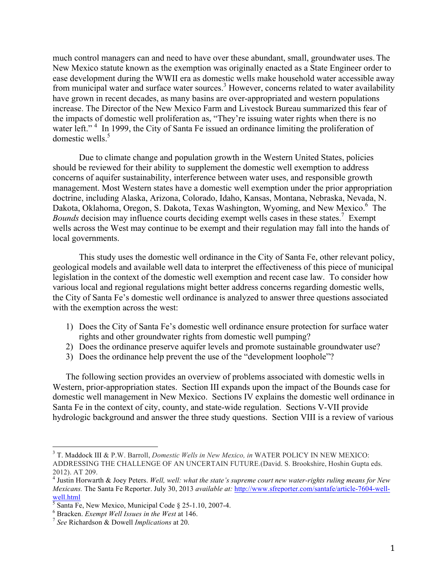much control managers can and need to have over these abundant, small, groundwater uses. The New Mexico statute known as the exemption was originally enacted as a State Engineer order to ease development during the WWII era as domestic wells make household water accessible away from municipal water and surface water sources.<sup>3</sup> However, concerns related to water availability have grown in recent decades, as many basins are over-appropriated and western populations increase. The Director of the New Mexico Farm and Livestock Bureau summarized this fear of the impacts of domestic well proliferation as, "They're issuing water rights when there is no water left."<sup>4</sup> In 1999, the City of Santa Fe issued an ordinance limiting the proliferation of domestic wells $5$ 

Due to climate change and population growth in the Western United States, policies should be reviewed for their ability to supplement the domestic well exemption to address concerns of aquifer sustainability, interference between water uses, and responsible growth management. Most Western states have a domestic well exemption under the prior appropriation doctrine, including Alaska, Arizona, Colorado, Idaho, Kansas, Montana, Nebraska, Nevada, N. Dakota, Oklahoma, Oregon, S. Dakota, Texas Washington, Wyoming, and New Mexico.<sup>6</sup> The Bounds decision may influence courts deciding exempt wells cases in these states.<sup>7</sup> Exempt wells across the West may continue to be exempt and their regulation may fall into the hands of local governments.

This study uses the domestic well ordinance in the City of Santa Fe, other relevant policy, geological models and available well data to interpret the effectiveness of this piece of municipal legislation in the context of the domestic well exemption and recent case law. To consider how various local and regional regulations might better address concerns regarding domestic wells, the City of Santa Fe's domestic well ordinance is analyzed to answer three questions associated with the exemption across the west:

- 1) Does the City of Santa Fe's domestic well ordinance ensure protection for surface water rights and other groundwater rights from domestic well pumping?
- 2) Does the ordinance preserve aquifer levels and promote sustainable groundwater use?
- 3) Does the ordinance help prevent the use of the "development loophole"?

The following section provides an overview of problems associated with domestic wells in Western, prior-appropriation states. Section III expands upon the impact of the Bounds case for domestic well management in New Mexico. Sections IV explains the domestic well ordinance in Santa Fe in the context of city, county, and state-wide regulation. Sections V-VII provide hydrologic background and answer the three study questions. Section VIII is a review of various

 <sup>3</sup> T. Maddock III & P.W. Barroll, *Domestic Wells in New Mexico, in* WATER POLICY IN NEW MEXICO: ADDRESSING THE CHALLENGE OF AN UNCERTAIN FUTURE.(David. S. Brookshire, Hoshin Gupta eds. 2012). AT 209.

<sup>4</sup> Justin Horwarth & Joey Peters. *Well, well: what the state's supreme court new water-rights ruling means for New Mexicans.* The Santa Fe Reporter. July 30, 2013 *available at:* http://www.sfreporter.com/santafe/article-7604-wellwell.html

<sup>5</sup> Santa Fe, New Mexico, Municipal Code § 25-1.10, 2007-4. <sup>6</sup> Bracken. *Exempt Well Issues in the West* at 146. <sup>7</sup> *See* Richardson & Dowell *Implications* at 20.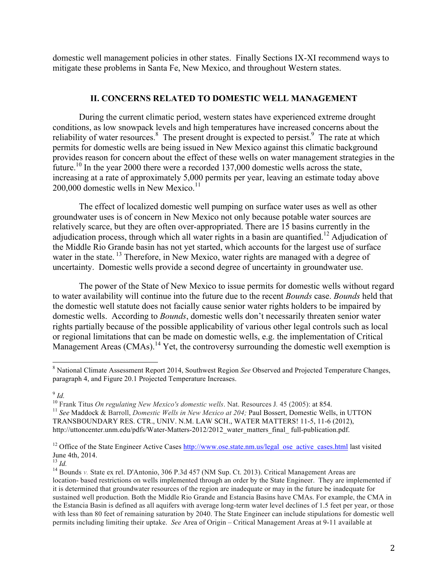domestic well management policies in other states. Finally Sections IX-XI recommend ways to mitigate these problems in Santa Fe, New Mexico, and throughout Western states.

#### **II. CONCERNS RELATED TO DOMESTIC WELL MANAGEMENT**

During the current climatic period, western states have experienced extreme drought conditions, as low snowpack levels and high temperatures have increased concerns about the reliability of water resources.<sup>8</sup> The present drought is expected to persist.<sup>9</sup> The rate at which permits for domestic wells are being issued in New Mexico against this climatic background provides reason for concern about the effect of these wells on water management strategies in the future.<sup>10</sup> In the year 2000 there were a recorded 137,000 domestic wells across the state, increasing at a rate of approximately 5,000 permits per year, leaving an estimate today above 200,000 domestic wells in New Mexico.<sup>11</sup>

The effect of localized domestic well pumping on surface water uses as well as other groundwater uses is of concern in New Mexico not only because potable water sources are relatively scarce, but they are often over-appropriated. There are 15 basins currently in the adjudication process, through which all water rights in a basin are quantified.<sup>12</sup> Adjudication of the Middle Rio Grande basin has not yet started, which accounts for the largest use of surface water in the state.<sup>13</sup> Therefore, in New Mexico, water rights are managed with a degree of uncertainty. Domestic wells provide a second degree of uncertainty in groundwater use.

The power of the State of New Mexico to issue permits for domestic wells without regard to water availability will continue into the future due to the recent *Bounds* case. *Bounds* held that the domestic well statute does not facially cause senior water rights holders to be impaired by domestic wells. According to *Bounds*, domestic wells don't necessarily threaten senior water rights partially because of the possible applicability of various other legal controls such as local or regional limitations that can be made on domestic wells, e.g. the implementation of Critical Management Areas (CMAs).<sup>14</sup> Yet, the controversy surrounding the domestic well exemption is

 $\frac{9}{10}$  *Id.*<br><sup>10</sup> Frank Titus *On regulating New Mexico's domestic wells*. Nat. Resources J. 45 (2005): at 854. <sup>11</sup> See Maddock & Barroll, Domestic Wells in New Mexico at 204; Paul Bossert, Domestic Wells, in UTTON

TRANSBOUNDARY RES. CTR., UNIV. N.M. LAW SCH., WATER MATTERS! 11-5, 11-6 (2012), http://uttoncenter.unm.edu/pdfs/Water-Matters-2012/2012\_water\_matters\_final\_ full-publication.pdf.

<sup>12</sup> Office of the State Engineer Active Cases  $\frac{http://www.ose.state.nm.us/legal_ose_active_cases.html}{http://www.ose.state.nm.us/legal_ose_active_cases.html}$  last visited June 4th, 2014.

 <sup>8</sup> National Climate Assessment Report 2014, Southwest Region *See* Observed and Projected Temperature Changes, paragraph 4, and Figure 20.1 Projected Temperature Increases.

<sup>&</sup>lt;sup>14</sup> Bounds *v*. State ex rel. D'Antonio, 306 P.3d 457 (NM Sup. Ct. 2013). Critical Management Areas are location- based restrictions on wells implemented through an order by the State Engineer. They are implemented if it is determined that groundwater resources of the region are inadequate or may in the future be inadequate for sustained well production. Both the Middle Rio Grande and Estancia Basins have CMAs. For example, the CMA in the Estancia Basin is defined as all aquifers with average long-term water level declines of 1.5 feet per year, or those with less than 80 feet of remaining saturation by 2040. The State Engineer can include stipulations for domestic well permits including limiting their uptake. *See* Area of Origin – Critical Management Areas at 9-11 available at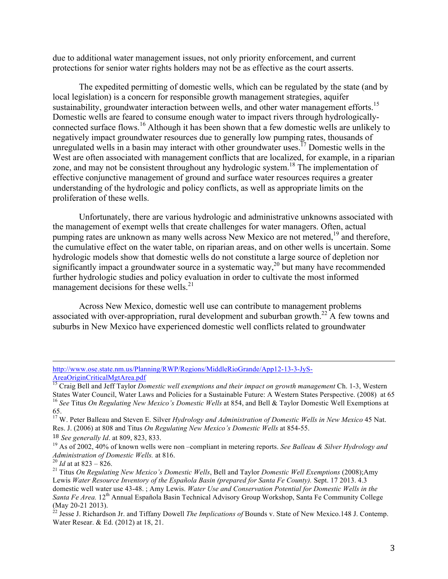due to additional water management issues, not only priority enforcement, and current protections for senior water rights holders may not be as effective as the court asserts.

The expedited permitting of domestic wells, which can be regulated by the state (and by local legislation) is a concern for responsible growth management strategies, aquifer sustainability, groundwater interaction between wells, and other water management efforts.<sup>15</sup> Domestic wells are feared to consume enough water to impact rivers through hydrologicallyconnected surface flows.<sup>16</sup> Although it has been shown that a few domestic wells are unlikely to negatively impact groundwater resources due to generally low pumping rates, thousands of unregulated wells in a basin may interact with other groundwater uses.<sup>17</sup> Domestic wells in the West are often associated with management conflicts that are localized, for example, in a riparian zone, and may not be consistent throughout any hydrologic system.<sup>18</sup> The implementation of effective conjunctive management of ground and surface water resources requires a greater understanding of the hydrologic and policy conflicts, as well as appropriate limits on the proliferation of these wells.

Unfortunately, there are various hydrologic and administrative unknowns associated with the management of exempt wells that create challenges for water managers. Often, actual pumping rates are unknown as many wells across New Mexico are not metered,<sup>19</sup> and therefore, the cumulative effect on the water table, on riparian areas, and on other wells is uncertain. Some hydrologic models show that domestic wells do not constitute a large source of depletion nor significantly impact a groundwater source in a systematic way,<sup>20</sup> but many have recommended further hydrologic studies and policy evaluation in order to cultivate the most informed management decisions for these wells. $^{21}$ 

Across New Mexico, domestic well use can contribute to management problems associated with over-appropriation, rural development and suburban growth.<sup>22</sup> A few towns and suburbs in New Mexico have experienced domestic well conflicts related to groundwater

<u> 1989 - Andrea San Andrea San Andrea San Andrea San Andrea San Andrea San Andrea San Andrea San Andrea San An</u>

http://www.ose.state.nm.us/Planning/RWP/Regions/MiddleRioGrande/App12-13-3-JyS-AreaOriginCriticalMgtArea.pdf

<sup>&</sup>lt;sup>15</sup> Craig Bell and Jeff Taylor *Domestic well exemptions and their impact on growth management* Ch. 1-3, Western States Water Council, Water Laws and Policies for a Sustainable Future: A Western States Perspective. (2008) at 65<sup>16</sup> See Titus On Regulating New Mexico's Domestic Wells at 854, and Bell & Taylor Domestic Well Exemptions

<sup>65.</sup> <sup>17</sup> W. Peter Balleau and Steven E. Silver *Hydrology and Administration of Domestic Wells in New Mexico* 45 Nat. Res. J. (2006) at 808 and Titus *On Regulating New Mexico's Domestic Wells* at 854-55.

<sup>&</sup>lt;sup>18</sup> *See generally 1d.* at 809, 823, 833.<br><sup>19</sup> As of 2002, 40% of known wells were non –compliant in metering reports. *See Balleau & Silver Hydrology and Administration of Domestic Wells.* at 816.<br><sup>20</sup> *Id* at at 823 – 8

<sup>&</sup>lt;sup>21</sup> Titus *On Regulating New Mexico's Domestic Wells*, Bell and Taylor *Domestic Well Exemptions* (2008);Amy Lewis *Water Resource Inventory of the Española Basin (prepared for Santa Fe County).* Sept. 17 2013. 4.3 domestic well water use 43-48. ; Amy Lewis. *Water Use and Conservation Potential for Domestic Wells in the Santa Fe Area.* 12<sup>th</sup> Annual Española Basin Technical Advisory Group Workshop, Santa Fe Community College

<sup>(</sup>May 20-21 2013). <sup>22</sup> Jesse J. Richardson Jr. and Tiffany Dowell *The Implications of* Bounds v. State of New Mexico.148 J. Contemp. Water Resear. & Ed. (2012) at 18, 21.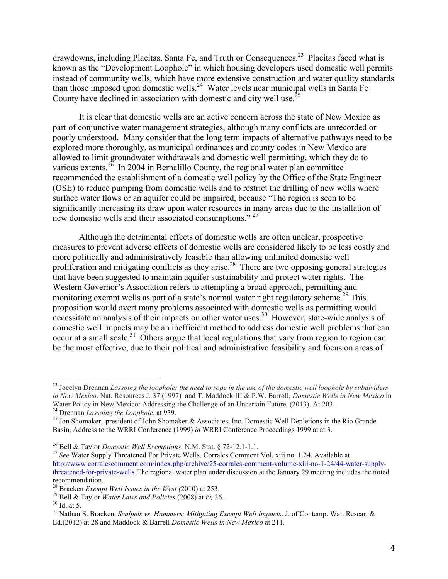drawdowns, including Placitas, Santa Fe, and Truth or Consequences.<sup>23</sup> Placitas faced what is known as the "Development Loophole" in which housing developers used domestic well permits instead of community wells, which have more extensive construction and water quality standards than those imposed upon domestic wells.<sup>24</sup> Water levels near municipal wells in Santa Fe County have declined in association with domestic and city well use.<sup>25</sup>

It is clear that domestic wells are an active concern across the state of New Mexico as part of conjunctive water management strategies, although many conflicts are unrecorded or poorly understood. Many consider that the long term impacts of alternative pathways need to be explored more thoroughly, as municipal ordinances and county codes in New Mexico are allowed to limit groundwater withdrawals and domestic well permitting, which they do to various extents.<sup>26</sup> In 2004 in Bernalillo County, the regional water plan committee recommended the establishment of a domestic well policy by the Office of the State Engineer (OSE) to reduce pumping from domestic wells and to restrict the drilling of new wells where surface water flows or an aquifer could be impaired, because "The region is seen to be significantly increasing its draw upon water resources in many areas due to the installation of new domestic wells and their associated consumptions."<sup>27</sup>

Although the detrimental effects of domestic wells are often unclear, prospective measures to prevent adverse effects of domestic wells are considered likely to be less costly and more politically and administratively feasible than allowing unlimited domestic well proliferation and mitigating conflicts as they arise.<sup>28</sup> There are two opposing general strategies that have been suggested to maintain aquifer sustainability and protect water rights. The Western Governor's Association refers to attempting a broad approach, permitting and monitoring exempt wells as part of a state's normal water right regulatory scheme.<sup>29</sup> This proposition would avert many problems associated with domestic wells as permitting would necessitate an analysis of their impacts on other water uses.<sup>30</sup> However, state-wide analysis of domestic well impacts may be an inefficient method to address domestic well problems that can occur at a small scale.<sup>31</sup> Others argue that local regulations that vary from region to region can be the most effective, due to their political and administrative feasibility and focus on areas of

 <sup>23</sup> Jocelyn Drennan *Lassoing the loophole: the need to rope in the use of the domestic well loophole by subdividers in New Mexico*. Nat. Resources J*.* 37 (1997) and T. Maddock III & P.W. Barroll, *Domestic Wells in New Mexico* in Water Policy in New Mexico: Addressing the Challenge of an Uncertain Future, (2013). At 203.<br><sup>24</sup> Drennan *Lassoing the Loophole*. at 939.<br><sup>25</sup> Jon Shomaker, president of John Shomaker & Associates. Inc. Domestic Well Depl

Basin, Address to the WRRI Conference (1999) *in* WRRI Conference Proceedings 1999 at at 3.

<sup>&</sup>lt;sup>26</sup> Bell & Taylor *Domestic Well Exemptions*; N.M. Stat. § 72-12.1-1.1.<br><sup>27</sup> *See* Water Supply Threatened For Private Wells. Corrales Comment Vol. xiii no. 1.24. Available at http://www.corralescomment.com/index.php/archive/25-corrales-comment-volume-xiii-no-1-24/44-water-supplythreatened-for-private-wells The regional water plan under discussion at the January 29 meeting includes the noted recommendation.<br><sup>28</sup> Bracken *Exempt Well Issues in the West (*2010) at 253.

<sup>&</sup>lt;sup>29</sup> Bell & Taylor *Water Laws and Policies* (2008) at *iv*, 36.<br><sup>30</sup> Id. at 5.<br><sup>31</sup> Nathan S. Bracken. *Scalpels vs. Hammers: Mitigating Exempt Well Impacts. J.* of Contemp. Wat. Resear. & Ed.(2012) at 28 and Maddock & Barrell *Domestic Wells in New Mexico* at 211.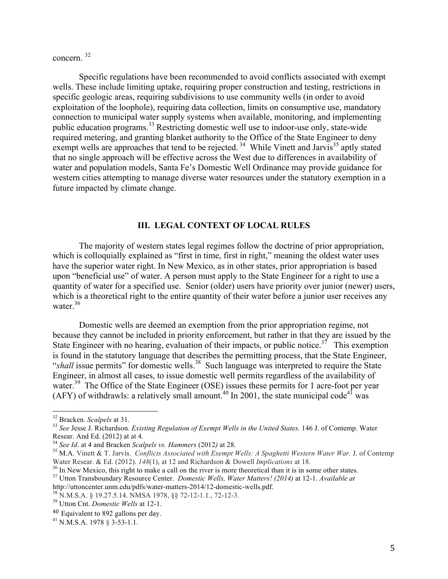concern. 32

Specific regulations have been recommended to avoid conflicts associated with exempt wells. These include limiting uptake, requiring proper construction and testing, restrictions in specific geologic areas, requiring subdivisions to use community wells (in order to avoid exploitation of the loophole), requiring data collection, limits on consumptive use, mandatory connection to municipal water supply systems when available, monitoring, and implementing public education programs. <sup>33</sup> Restricting domestic well use to indoor-use only, state-wide required metering, and granting blanket authority to the Office of the State Engineer to deny exempt wells are approaches that tend to be rejected.<sup>34</sup> While Vinett and Jarvis<sup>35</sup> aptly stated that no single approach will be effective across the West due to differences in availability of water and population models, Santa Fe's Domestic Well Ordinance may provide guidance for western cities attempting to manage diverse water resources under the statutory exemption in a future impacted by climate change.

## **III. LEGAL CONTEXT OF LOCAL RULES**

The majority of western states legal regimes follow the doctrine of prior appropriation, which is colloquially explained as "first in time, first in right," meaning the oldest water uses have the superior water right. In New Mexico, as in other states, prior appropriation is based upon "beneficial use" of water. A person must apply to the State Engineer for a right to use a quantity of water for a specified use. Senior (older) users have priority over junior (newer) users, which is a theoretical right to the entire quantity of their water before a junior user receives any water. 36

Domestic wells are deemed an exemption from the prior appropriation regime, not because they cannot be included in priority enforcement, but rather in that they are issued by the State Engineer with no hearing, evaluation of their impacts, or public notice.<sup>37</sup> This exemption is found in the statutory language that describes the permitting process, that the State Engineer, "shall issue permits" for domestic wells.<sup>38</sup> Such language was interpreted to require the State Engineer, in almost all cases, to issue domestic well permits regardless of the availability of water.<sup>39</sup> The Office of the State Engineer (OSE) issues these permits for 1 acre-foot per year (AFY) of withdrawls: a relatively small amount.<sup>40</sup> In 2001, the state municipal code<sup>41</sup> was

<sup>&</sup>lt;sup>32</sup> Bracken. *Scalpels* at 31.<br><sup>33</sup> *See Jesse J. Richardson. Existing Regulation of Exempt Wells in the United States.* 146 J. of Contemp. Water Resear. And Ed. (2012) at at 4.

<sup>&</sup>lt;sup>34</sup> See Id. at 4 and Bracken Scalpels vs. Hammers (2012) at 28.<br><sup>35</sup> M.A. Vinett & T. Jarvis. *Conflicts Associated with Exempt Wells: A Spaghetti Western Water War. J.* of Contemp Water Resear. & Ed. (2012). 148(1), at 12 and Richardson & Dowell *Implications* at 18.<br><sup>36</sup> In New Mexico, this right to make a call on the river is more theoretical than it is in some other states.<br><sup>37</sup> Utton Transbound

<sup>&</sup>lt;sup>38</sup> N.M.S.A. § 19.27.5.14. NMSA 1978, §§ 72-12-1.1., 72-12-3.<br><sup>39</sup> Utton Cnt. *Domestic Wells* at 12-1.

<sup>40</sup> Equivalent to 892 gallons per day.<br> $^{41}$  N.M.S.A. 1978 § 3-53-1.1.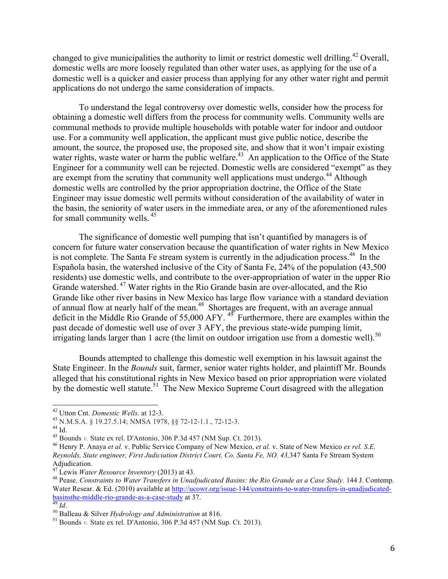changed to give municipalities the authority to limit or restrict domestic well drilling.<sup>42</sup> Overall, domestic wells are more loosely regulated than other water uses, as applying for the use of a domestic well is a quicker and easier process than applying for any other water right and permit applications do not undergo the same consideration of impacts.

To understand the legal controversy over domestic wells, consider how the process for obtaining a domestic well differs from the process for community wells. Community wells are communal methods to provide multiple households with potable water for indoor and outdoor use. For a community well application, the applicant must give public notice, describe the amount, the source, the proposed use, the proposed site, and show that it won't impair existing water rights, waste water or harm the public welfare.<sup>43</sup> An application to the Office of the State Engineer for a community well can be rejected. Domestic wells are considered "exempt" as they are exempt from the scrutiny that community well applications must undergo.<sup>44</sup> Although domestic wells are controlled by the prior appropriation doctrine, the Office of the State Engineer may issue domestic well permits without consideration of the availability of water in the basin, the seniority of water users in the immediate area, or any of the aforementioned rules for small community wells.<sup>45</sup>

The significance of domestic well pumping that isn't quantified by managers is of concern for future water conservation because the quantification of water rights in New Mexico is not complete. The Santa Fe stream system is currently in the adjudication process.<sup>46</sup> In the Española basin, the watershed inclusive of the City of Santa Fe, 24% of the population (43,500 residents) use domestic wells, and contribute to the over-appropriation of water in the upper Rio Grande watershed.<sup>47</sup> Water rights in the Rio Grande basin are over-allocated, and the Rio Grande like other river basins in New Mexico has large flow variance with a standard deviation of annual flow at nearly half of the mean.<sup>48</sup> Shortages are frequent, with an average annual deficit in the Middle Rio Grande of 55,000 AFY.  $4\overline{9}$  Furthermore, there are examples within the past decade of domestic well use of over 3 AFY, the previous state-wide pumping limit, irrigating lands larger than 1 acre (the limit on outdoor irrigation use from a domestic well).<sup>50</sup>

Bounds attempted to challenge this domestic well exemption in his lawsuit against the State Engineer. In the *Bounds* suit, farmer, senior water rights holder, and plaintiff Mr. Bounds alleged that his constitutional rights in New Mexico based on prior appropriation were violated by the domestic well statute.<sup>51</sup> The New Mexico Supreme Court disagreed with the allegation

<sup>&</sup>lt;sup>42</sup> Utton Cnt. *Domestic Wells.* at 12-3.<br><sup>43</sup> N.M.S.A. § 19.27.5.14; NMSA 1978, §§ 72-12-1.1., 72-12-3.<br><sup>44</sup> Id.<br><sup>45</sup> Bounds *v*. State ex rel. D'Antonio, 306 P.3d 457 (NM Sup. Ct. 2013).<br><sup>46</sup> Henry P. Anaya *et al.* v. *Reynolds, State engineer, First Judiciation District Court, Co. Santa Fe, NO. 43,*347 Santa Fe Stream System Adjudication.<br><sup>47</sup> Lewis *Water Resource Inventory* (2013) at 43.

<sup>&</sup>lt;sup>48</sup> Pease. *Constraints to Water Transfers in Unadjudicated Basins: the Rio Grande as a Case Study.* 144 J. Contemp. Water Resear. & Ed. (2010) available at http://ucowr.org/issue-144/constraints-to-water-transfers-in-unadjudicated-<br>basinsthe-middle-rio-grande-as-a-case-study at 37.

<sup>&</sup>lt;sup>49</sup> *Id.* <sup>50</sup> Balleau & Silver *Hydrology and Administration* at 816. <sup>51</sup> Bounds *v*. State ex rel. D'Antonio, 306 P.3d 457 (NM Sup. Ct. 2013).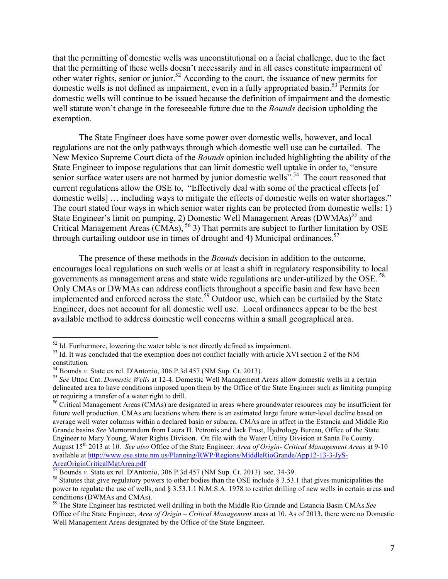that the permitting of domestic wells was unconstitutional on a facial challenge, due to the fact that the permitting of these wells doesn't necessarily and in all cases constitute impairment of other water rights, senior or junior. <sup>52</sup> According to the court, the issuance of new permits for domestic wells is not defined as impairment, even in a fully appropriated basin.<sup>53</sup> Permits for domestic wells will continue to be issued because the definition of impairment and the domestic well statute won't change in the foreseeable future due to the *Bounds* decision upholding the exemption.

The State Engineer does have some power over domestic wells, however, and local regulations are not the only pathways through which domestic well use can be curtailed. The New Mexico Supreme Court dicta of the *Bounds* opinion included highlighting the ability of the State Engineer to impose regulations that can limit domestic well uptake in order to, "ensure senior surface water users are not harmed by junior domestic wells<sup>". 54</sup> The court reasoned that current regulations allow the OSE to, "Effectively deal with some of the practical effects [of domestic wells] … including ways to mitigate the effects of domestic wells on water shortages." The court stated four ways in which senior water rights can be protected from domestic wells: 1) State Engineer's limit on pumping, 2) Domestic Well Management Areas  $(DWMAs)^{55}$  and Critical Management Areas (CMAs),  $^{56}$  3) That permits are subject to further limitation by OSE through curtailing outdoor use in times of drought and 4) Municipal ordinances.<sup>57</sup>

The presence of these methods in the *Bounds* decision in addition to the outcome, encourages local regulations on such wells or at least a shift in regulatory responsibility to local governments as management areas and state wide regulations are under-utilized by the OSE.<sup>58</sup> Only CMAs or DWMAs can address conflicts throughout a specific basin and few have been implemented and enforced across the state.<sup>59</sup> Outdoor use, which can be curtailed by the State Engineer, does not account for all domestic well use. Local ordinances appear to be the best available method to address domestic well concerns within a small geographical area.

 $52$  Id. Furthermore, lowering the water table is not directly defined as impairment.<br> $53$  Id. It was concluded that the exemption does not conflict facially with article XVI section 2 of the NM constitution*.* <sup>54</sup> Bounds *v.* State ex rel. D'Antonio, 306 P.3d 457 (NM Sup. Ct. 2013). <sup>55</sup> *See* Utton Cnt. *Domestic Wells* at 12-4. Domestic Well Management Areas allow domestic wells in a certain

delineated area to have conditions imposed upon them by the Office of the State Engineer such as limiting pumping or requiring a transfer of a water right to drill.

 $<sup>56</sup>$  Critical Management Areas (CMAs) are designated in areas where groundwater resources may be insufficient for</sup> future well production. CMAs are locations where there is an estimated large future water-level decline based on average well water columns within a declared basin or subarea. CMAs are in affect in the Estancia and Middle Rio Grande basins *See* Memorandum from Laura H. Petronis and Jack Frost, Hydrology Bureau, Office of the State Engineer to Mary Young, Water Rights Division. On file with the Water Utility Division at Santa Fe County. August 15th 2013 at 10. *See also* Office of the State Engineer. *Area of Origin- Critical Management Areas* at 9-10 available at http://www.ose.state.nm.us/Planning/RWP/Regions/MiddleRioGrande/App12-13-3-JyS-AreaOriginCriticalMgtArea.pdf<br>
<sup>57</sup> Bounds v. State ex rel. D'Antonio, 306 P.3d 457 (NM Sup. Ct. 2013) sec. 34-39.

<sup>&</sup>lt;sup>58</sup> Statutes that give regulatory powers to other bodies than the OSE include § 3.53.1 that gives municipalities the power to regulate the use of wells, and § 3.53.1.1 N.M.S.A. 1978 to restrict drilling of new wells in certain areas and conditions (DWMAs and CMAs).

<sup>&</sup>lt;sup>59</sup> The State Engineer has restricted well drilling in both the Middle Rio Grande and Estancia Basin CMAs.*See* Office of the State Engineer, *Area of Origin – Critical Management* areas at 10. As of 2013, there were no Domestic Well Management Areas designated by the Office of the State Engineer.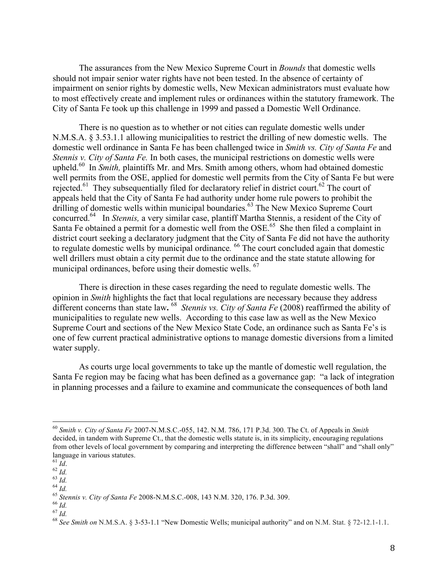The assurances from the New Mexico Supreme Court in *Bounds* that domestic wells should not impair senior water rights have not been tested. In the absence of certainty of impairment on senior rights by domestic wells, New Mexican administrators must evaluate how to most effectively create and implement rules or ordinances within the statutory framework. The City of Santa Fe took up this challenge in 1999 and passed a Domestic Well Ordinance.

There is no question as to whether or not cities can regulate domestic wells under N.M.S.A. § 3.53.1.1 allowing municipalities to restrict the drilling of new domestic wells. The domestic well ordinance in Santa Fe has been challenged twice in *Smith vs. City of Santa Fe* and *Stennis v. City of Santa Fe.* In both cases, the municipal restrictions on domestic wells were upheld.<sup>60</sup> In *Smith*, plaintiffs Mr. and Mrs. Smith among others, whom had obtained domestic well permits from the OSE, applied for domestic well permits from the City of Santa Fe but were rejected.<sup>61</sup> They subsequentially filed for declaratory relief in district court.<sup>62</sup> The court of appeals held that the City of Santa Fe had authority under home rule powers to prohibit the drilling of domestic wells within municipal boundaries.<sup>63</sup> The New Mexico Supreme Court concurred.64 In *Stennis,* a very similar case, plantiff Martha Stennis, a resident of the City of Santa Fe obtained a permit for a domestic well from the OSE.<sup>65</sup> She then filed a complaint in district court seeking a declaratory judgment that the City of Santa Fe did not have the authority to regulate domestic wells by municipal ordinance. <sup>66</sup> The court concluded again that domestic well drillers must obtain a city permit due to the ordinance and the state statute allowing for municipal ordinances, before using their domestic wells. <sup>67</sup>

There is direction in these cases regarding the need to regulate domestic wells. The opinion in *Smith* highlights the fact that local regulations are necessary because they address different concerns than state law**.** 68 *Stennis vs. City of Santa Fe* (2008) reaffirmed the ability of municipalities to regulate new wells. According to this case law as well as the New Mexico Supreme Court and sections of the New Mexico State Code, an ordinance such as Santa Fe's is one of few current practical administrative options to manage domestic diversions from a limited water supply.

As courts urge local governments to take up the mantle of domestic well regulation, the Santa Fe region may be facing what has been defined as a governance gap: "a lack of integration in planning processes and a failure to examine and communicate the consequences of both land

 <sup>60</sup> *Smith v. City of Santa Fe* 2007-N.M.S.C.-055, 142. N.M. 786, 171 P.3d. 300. The Ct. of Appeals in *Smith* decided, in tandem with Supreme Ct., that the domestic wells statute is, in its simplicity, encouraging regulations from other levels of local government by comparing and interpreting the difference between "shall" and "shall only" language in various statutes.<br> $^{61}$  *Id*.

<sup>&</sup>lt;sup>62</sup> *Id.*<br>
<sup>63</sup> *Id.*<br>
<sup>64</sup> *Id.*<br>
<sup>65</sup> *Stennis v. City of Santa Fe* 2008-N.M.S.C.-008, 143 N.M. 320, 176. P.3d. 309.<br>
<sup>66</sup> *Id.*<br>
<sup>67</sup> *Id.*<br>
<sup>68</sup> *See Smith on* N.M.S.A. § 3-53-1.1 "New Domestic Wells; municipal autho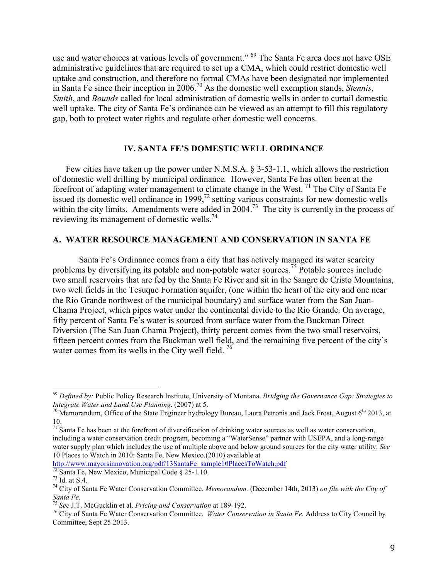use and water choices at various levels of government." <sup>69</sup> The Santa Fe area does not have OSE administrative guidelines that are required to set up a CMA, which could restrict domestic well uptake and construction, and therefore no formal CMAs have been designated nor implemented in Santa Fe since their inception in 2006.70 As the domestic well exemption stands, *Stennis*, *Smith*, and *Bounds* called for local administration of domestic wells in order to curtail domestic well uptake. The city of Santa Fe's ordinance can be viewed as an attempt to fill this regulatory gap, both to protect water rights and regulate other domestic well concerns.

#### **IV. SANTA FE'S DOMESTIC WELL ORDINANCE**

Few cities have taken up the power under N.M.S.A. § 3-53-1.1, which allows the restriction of domestic well drilling by municipal ordinance*.* However, Santa Fe has often been at the forefront of adapting water management to climate change in the West.  $\frac{71}{1}$  The City of Santa Fe issued its domestic well ordinance in 1999,<sup>72</sup> setting various constraints for new domestic wells within the city limits. Amendments were added in 2004.<sup>73</sup> The city is currently in the process of reviewing its management of domestic wells.<sup>74</sup>

#### **A. WATER RESOURCE MANAGEMENT AND CONSERVATION IN SANTA FE**

Santa Fe's Ordinance comes from a city that has actively managed its water scarcity problems by diversifying its potable and non-potable water sources.<sup>75</sup> Potable sources include two small reservoirs that are fed by the Santa Fe River and sit in the Sangre de Cristo Mountains, two well fields in the Tesuque Formation aquifer, (one within the heart of the city and one near the Rio Grande northwest of the municipal boundary) and surface water from the San Juan-Chama Project, which pipes water under the continental divide to the Rio Grande. On average, fifty percent of Santa Fe's water is sourced from surface water from the Buckman Direct Diversion (The San Juan Chama Project), thirty percent comes from the two small reservoirs, fifteen percent comes from the Buckman well field, and the remaining five percent of the city's water comes from its wells in the City well field.  $\frac{76}{2}$ 

http://www.mayorsinnovation.org/pdf/13SantaFe\_sample10PlacesToWatch.pdf<br><sup>72</sup> Santa Fe, New Mexico, Municipal Code § 25-1.10.

 <sup>69</sup> *Defined by:* Public Policy Research Institute, University of Montana. *Bridging the Governance Gap: Strategies to* 

<sup>&</sup>lt;sup>70</sup> Memorandum, Office of the State Engineer hydrology Bureau, Laura Petronis and Jack Frost, August 6<sup>th</sup> 2013, at 10.<br><sup>71</sup> Santa Fe has been at the forefront of diversification of drinking water sources as well as water conservation,

including a water conservation credit program, becoming a "WaterSense" partner with USEPA, and a long-range water supply plan which includes the use of multiple above and below ground sources for the city water utility. *See* 10 Places to Watch in 2010: Santa Fe, New Mexico*.*(2010) available at

<sup>&</sup>lt;sup>73</sup> Id. at S.4.<br><sup>74</sup> City of Santa Fe Water Conservation Committee. *Memorandum*. (December 14th, 2013) *on file with the City of* Santa Fe.<br><sup>75</sup> See J.T. McGucklin et al. *Pricing and Conservation* at 189-192.

<sup>&</sup>lt;sup>76</sup> City of Santa Fe Water Conservation Committee. *Water Conservation in Santa Fe*. Address to City Council by Committee, Sept 25 2013.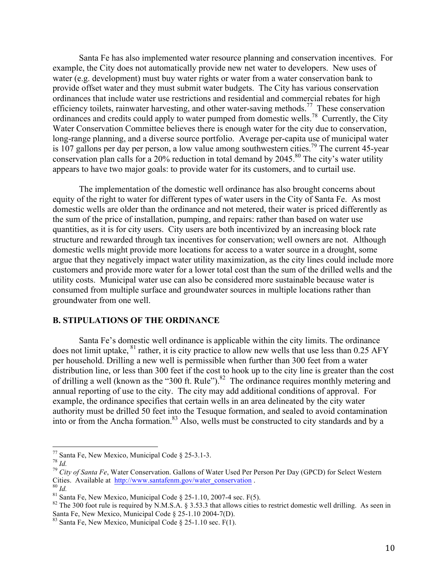Santa Fe has also implemented water resource planning and conservation incentives. For example, the City does not automatically provide new net water to developers. New uses of water (e.g. development) must buy water rights or water from a water conservation bank to provide offset water and they must submit water budgets. The City has various conservation ordinances that include water use restrictions and residential and commercial rebates for high efficiency toilets, rainwater harvesting, and other water-saving methods.<sup>77</sup> These conservation ordinances and credits could apply to water pumped from domestic wells.78 Currently, the City Water Conservation Committee believes there is enough water for the city due to conservation, long-range planning, and a diverse source portfolio. Average per-capita use of municipal water is 107 gallons per day per person, a low value among southwestern cities.<sup>79</sup> The current 45-year conservation plan calls for a 20% reduction in total demand by 2045.<sup>80</sup> The city's water utility appears to have two major goals: to provide water for its customers, and to curtail use.

The implementation of the domestic well ordinance has also brought concerns about equity of the right to water for different types of water users in the City of Santa Fe. As most domestic wells are older than the ordinance and not metered, their water is priced differently as the sum of the price of installation, pumping, and repairs: rather than based on water use quantities, as it is for city users. City users are both incentivized by an increasing block rate structure and rewarded through tax incentives for conservation; well owners are not. Although domestic wells might provide more locations for access to a water source in a drought, some argue that they negatively impact water utility maximization, as the city lines could include more customers and provide more water for a lower total cost than the sum of the drilled wells and the utility costs. Municipal water use can also be considered more sustainable because water is consumed from multiple surface and groundwater sources in multiple locations rather than groundwater from one well.

## **B. STIPULATIONS OF THE ORDINANCE**

Santa Fe's domestic well ordinance is applicable within the city limits. The ordinance does not limit uptake, <sup>81</sup> rather, it is city practice to allow new wells that use less than 0.25 AFY per household. Drilling a new well is permissible when further than 300 feet from a water distribution line, or less than 300 feet if the cost to hook up to the city line is greater than the cost of drilling a well (known as the "300 ft. Rule").<sup>82</sup> The ordinance requires monthly metering and annual reporting of use to the city. The city may add additional conditions of approval. For example, the ordinance specifies that certain wells in an area delineated by the city water authority must be drilled 50 feet into the Tesuque formation, and sealed to avoid contamination into or from the Ancha formation.83 Also, wells must be constructed to city standards and by a

 <sup>77</sup> Santa Fe, New Mexico, Municipal Code § 25-3.1-3. 78 *Id.* <sup>79</sup> *City of Santa Fe*, Water Conservation. Gallons of Water Used Per Person Per Day (GPCD) for Select Western

Cities. Available at  $\frac{http://www.santafemm.gov/water-conservation}{Id}$ .<br><sup>80</sup> *Id.*<br><sup>81</sup> Santa Fe, New Mexico, Municipal Code § 25-1.10, 2007-4 sec. F(5).<br><sup>82</sup> The 300 foot rule is required by N.M.S.A. § 3.53.3 that allows cities to restrict domestic

 $83$  Santa Fe, New Mexico, Municipal Code § 25-1.10 sec. F(1).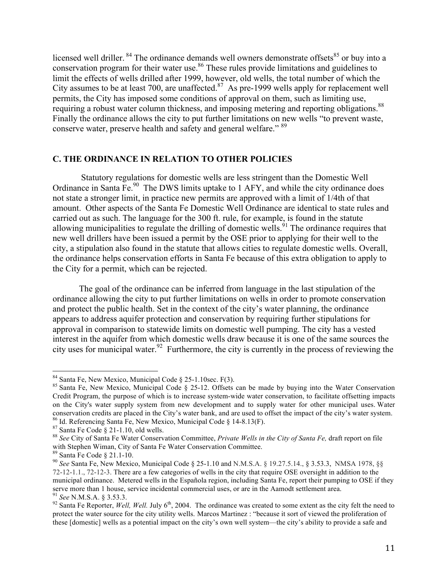licensed well driller. <sup>84</sup> The ordinance demands well owners demonstrate offsets<sup>85</sup> or buy into a conservation program for their water use.<sup>86</sup> These rules provide limitations and guidelines to limit the effects of wells drilled after 1999, however, old wells, the total number of which the City assumes to be at least 700, are unaffected. $87$  As pre-1999 wells apply for replacement well permits, the City has imposed some conditions of approval on them, such as limiting use, requiring a robust water column thickness, and imposing metering and reporting obligations.<sup>88</sup> Finally the ordinance allows the city to put further limitations on new wells "to prevent waste, conserve water, preserve health and safety and general welfare." <sup>89</sup>

## **C. THE ORDINANCE IN RELATION TO OTHER POLICIES**

Statutory regulations for domestic wells are less stringent than the Domestic Well Ordinance in Santa Fe.<sup>90</sup> The DWS limits uptake to 1 AFY, and while the city ordinance does not state a stronger limit, in practice new permits are approved with a limit of 1/4th of that amount. Other aspects of the Santa Fe Domestic Well Ordinance are identical to state rules and carried out as such. The language for the 300 ft. rule, for example, is found in the statute allowing municipalities to regulate the drilling of domestic wells.<sup>91</sup> The ordinance requires that new well drillers have been issued a permit by the OSE prior to applying for their well to the city, a stipulation also found in the statute that allows cities to regulate domestic wells. Overall, the ordinance helps conservation efforts in Santa Fe because of this extra obligation to apply to the City for a permit, which can be rejected.

The goal of the ordinance can be inferred from language in the last stipulation of the ordinance allowing the city to put further limitations on wells in order to promote conservation and protect the public health. Set in the context of the city's water planning, the ordinance appears to address aquifer protection and conservation by requiring further stipulations for approval in comparison to statewide limits on domestic well pumping. The city has a vested interest in the aquifer from which domestic wells draw because it is one of the same sources the city uses for municipal water.<sup>92</sup> Furthermore, the city is currently in the process of reviewing the

<sup>&</sup>lt;sup>84</sup> Santa Fe, New Mexico, Municipal Code § 25-1.10sec. F(3).<br><sup>85</sup> Santa Fe, New Mexico, Municipal Code § 25-12. Offsets can be made by buying into the Water Conservation Credit Program, the purpose of which is to increase system-wide water conservation, to facilitate offsetting impacts on the City's water supply system from new development and to supply water for other municipal uses. Water conservation credits are placed in the City's water bank, and are used to offset the impact of the city's water system.

<sup>&</sup>lt;sup>86</sup> Id. Referencing Santa Fe, New Mexico, Municipal Code § 14-8.13(F).<br><sup>87</sup> Santa Fe Code § 21-1.10, old wells.<br><sup>88</sup> See City of Santa Fe Water Conservation Committee, *Private Wells in the City of Santa Fe*, draft report with Stephen Wiman, City of Santa Fe Water Conservation Committee.<br><sup>89</sup> Santa Fe Code § 21.1-10.

<sup>&</sup>lt;sup>90</sup> See Santa Fe, New Mexico, Municipal Code § 25-1.10 and N.M.S.A. § 19.27.5.14., § 3.53.3, NMSA 1978, §§ 72-12-1.1., 72-12-3. There are a few categories of wells in the city that require OSE oversight in addition to the municipal ordinance. Metered wells in the Española region, including Santa Fe, report their pumping to OSE if they serve more than 1 house, service incidental commercial uses, or are in the Aamodt settlement area.<br><sup>91</sup> See N.M.S.A. § 3.53.3.

<sup>&</sup>lt;sup>92</sup> Santa Fe Reporter, *Well, Well.* July 6<sup>th</sup>, 2004. The ordinance was created to some extent as the city felt the need to protect the water source for the city utility wells. Marcos Martinez : "because it sort of viewed the proliferation of these [domestic] wells as a potential impact on the city's own well system—the city's ability to provide a safe and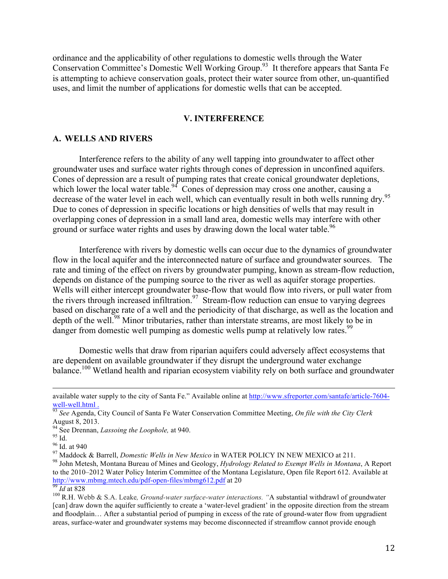ordinance and the applicability of other regulations to domestic wells through the Water Conservation Committee's Domestic Well Working Group.93 It therefore appears that Santa Fe is attempting to achieve conservation goals, protect their water source from other, un-quantified uses, and limit the number of applications for domestic wells that can be accepted.

#### **V. INTERFERENCE**

#### **A. WELLS AND RIVERS**

Interference refers to the ability of any well tapping into groundwater to affect other groundwater uses and surface water rights through cones of depression in unconfined aquifers. Cones of depression are a result of pumping rates that create conical groundwater depletions, which lower the local water table.<sup>94</sup> Cones of depression may cross one another, causing a decrease of the water level in each well, which can eventually result in both wells running dry.<sup>95</sup> Due to cones of depression in specific locations or high densities of wells that may result in overlapping cones of depression in a small land area, domestic wells may interfere with other ground or surface water rights and uses by drawing down the local water table.<sup>96</sup>

Interference with rivers by domestic wells can occur due to the dynamics of groundwater flow in the local aquifer and the interconnected nature of surface and groundwater sources. The rate and timing of the effect on rivers by groundwater pumping, known as stream-flow reduction, depends on distance of the pumping source to the river as well as aquifer storage properties. Wells will either intercept groundwater base-flow that would flow into rivers, or pull water from the rivers through increased infiltration.<sup>97</sup> Stream-flow reduction can ensue to varying degrees based on discharge rate of a well and the periodicity of that discharge, as well as the location and depth of the well.<sup>98</sup> Minor tributaries, rather than interstate streams, are most likely to be in danger from domestic well pumping as domestic wells pump at relatively low rates.<sup>99</sup>

Domestic wells that draw from riparian aquifers could adversely affect ecosystems that are dependent on available groundwater if they disrupt the underground water exchange balance.<sup>100</sup> Wetland health and riparian ecosystem viability rely on both surface and groundwater

<u> 1989 - Andrea Santa Andrea Santa Andrea Santa Andrea Santa Andrea Santa Andrea Santa Andrea Santa Andrea San</u>

<sup>95</sup> Id.<br><sup>96</sup> Id. at 940<br><sup>97</sup> Maddock & Barrell, *Domestic Wells in New Mexico* in WATER POLICY IN NEW MEXICO at 211.<br><sup>97</sup> John Metesh, Montana Bureau of Mines and Geology, *Hydrology Related to Exempt Wells in Montana*, A to the 2010–2012 Water Policy Interim Committee of the Montana Legislature, Open file Report 612. Available at http://www.mbmg.mtech.edu/pdf-open-files/mbmg612.pdf at 20<br><sup>99</sup> *Id* at 828<br><sup>100</sup> R.H. Webb & S.A. Leake, *Ground-water surface-water interactions*. "A substantial withdrawl of groundwater

available water supply to the city of Santa Fe." Available online at http://www.sfreporter.com/santafe/article-7604-

well-well.html .<br><sup>93</sup> *See* Agenda, City Council of Santa Fe Water Conservation Committee Meeting, *On file with the City Clerk* August 8, 2013.<br><sup>94</sup> See Drennan, *Lassoing the Loophole*, at 940.

<sup>[</sup>can] draw down the aquifer sufficiently to create a 'water-level gradient' in the opposite direction from the stream and floodplain… After a substantial period of pumping in excess of the rate of ground-water flow from upgradient areas, surface-water and groundwater systems may become disconnected if streamflow cannot provide enough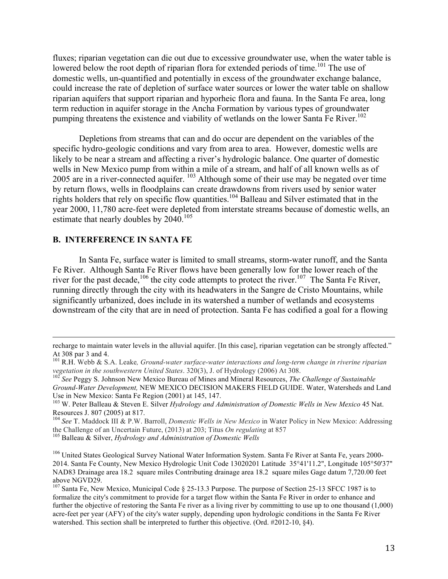fluxes; riparian vegetation can die out due to excessive groundwater use, when the water table is lowered below the root depth of riparian flora for extended periods of time.<sup>101</sup> The use of domestic wells, un-quantified and potentially in excess of the groundwater exchange balance, could increase the rate of depletion of surface water sources or lower the water table on shallow riparian aquifers that support riparian and hyporheic flora and fauna. In the Santa Fe area, long term reduction in aquifer storage in the Ancha Formation by various types of groundwater pumping threatens the existence and viability of wetlands on the lower Santa Fe River. 102

Depletions from streams that can and do occur are dependent on the variables of the specific hydro-geologic conditions and vary from area to area. However, domestic wells are likely to be near a stream and affecting a river's hydrologic balance. One quarter of domestic wells in New Mexico pump from within a mile of a stream, and half of all known wells as of 2005 are in a river-connected aquifer. <sup>103</sup> Although some of their use may be negated over time by return flows, wells in floodplains can create drawdowns from rivers used by senior water rights holders that rely on specific flow quantities.<sup>104</sup> Balleau and Silver estimated that in the year 2000, 11,780 acre-feet were depleted from interstate streams because of domestic wells, an estimate that nearly doubles by 2040.<sup>105</sup>

#### **B. INTERFERENCE IN SANTA FE**

In Santa Fe, surface water is limited to small streams, storm-water runoff, and the Santa Fe River. Although Santa Fe River flows have been generally low for the lower reach of the river for the past decade,  $106$  the city code attempts to protect the river.  $107$  The Santa Fe River, running directly through the city with its headwaters in the Sangre de Cristo Mountains, while significantly urbanized, does include in its watershed a number of wetlands and ecosystems downstream of the city that are in need of protection. Santa Fe has codified a goal for a flowing

<u> 1989 - Andrea San Andrea San Andrea San Andrea San Andrea San Andrea San Andrea San Andrea San Andrea San An</u>

<sup>104</sup> See T. Maddock III & P.W. Barroll, *Domestic Wells in New Mexico* in Water Policy in New Mexico: Addressing the Challenge of an Uncertain Future, (2013) at 203; Titus *On regulating* at 857

recharge to maintain water levels in the alluvial aquifer. [In this case], riparian vegetation can be strongly affected." At 308 par 3 and 4.

<sup>&</sup>lt;sup>101</sup> R.H. Webb & S.A. Leake, *Ground-water surface-water interactions and long-term change in riverine riparian* vegetation in the southwestern United States. 320(3), J. of Hydrology (2006) At 308.

<sup>&</sup>lt;sup>102</sup> See Peggy S. Johnson New Mexico Bureau of Mines and Mineral Resources, *The Challenge of Sustainable Ground-Water Development,* NEW MEXICO DECISION MAKERS FIELD GUIDE. Water, Watersheds and Land Use in New Mexico: Santa Fe Region (2001) at 145, 147.

<sup>&</sup>lt;sup>103</sup> W. Peter Balleau & Steven E. Silver *Hydrology and Administration of Domestic Wells in New Mexico* 45 Nat.<br>Resources J. 807 (2005) at 817.

<sup>&</sup>lt;sup>105</sup> Balleau & Silver, *Hydrology and Administration of Domestic Wells* 

<sup>&</sup>lt;sup>106</sup> United States Geological Survey National Water Information System. Santa Fe River at Santa Fe, years 2000-2014. Santa Fe County, New Mexico Hydrologic Unit Code 13020201 Latitude 35°41'11.2", Longitude 105°50'37" NAD83 Drainage area 18.2 square miles Contributing drainage area 18.2 square miles Gage datum 7,720.00 feet above NGVD29.<br><sup>107</sup> Santa Fe, New Mexico, Municipal Code § 25-13.3 Purpose. The purpose of Section 25-13 SFCC 1987 is to

formalize the city's commitment to provide for a target flow within the Santa Fe River in order to enhance and further the objective of restoring the Santa Fe river as a living river by committing to use up to one thousand (1,000) acre-feet per year (AFY) of the city's water supply, depending upon hydrologic conditions in the Santa Fe River watershed. This section shall be interpreted to further this objective. (Ord. #2012-10, §4).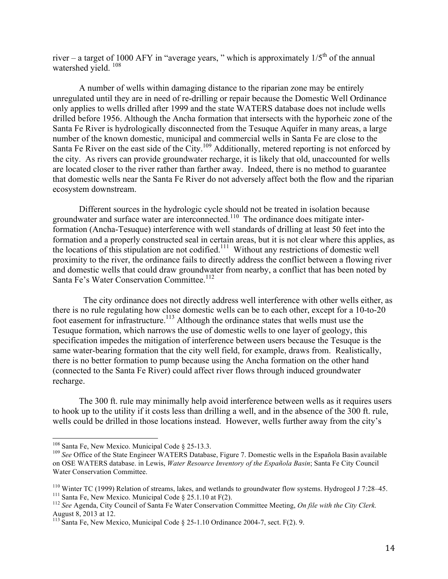river – a target of 1000 AFY in "average years," which is approximately  $1/5<sup>th</sup>$  of the annual watershed vield.<sup>108</sup>

A number of wells within damaging distance to the riparian zone may be entirely unregulated until they are in need of re-drilling or repair because the Domestic Well Ordinance only applies to wells drilled after 1999 and the state WATERS database does not include wells drilled before 1956. Although the Ancha formation that intersects with the hyporheic zone of the Santa Fe River is hydrologically disconnected from the Tesuque Aquifer in many areas, a large number of the known domestic, municipal and commercial wells in Santa Fe are close to the Santa Fe River on the east side of the City.<sup>109</sup> Additionally, metered reporting is not enforced by the city. As rivers can provide groundwater recharge, it is likely that old, unaccounted for wells are located closer to the river rather than farther away. Indeed, there is no method to guarantee that domestic wells near the Santa Fe River do not adversely affect both the flow and the riparian ecosystem downstream.

Different sources in the hydrologic cycle should not be treated in isolation because groundwater and surface water are interconnected.<sup>110</sup> The ordinance does mitigate interformation (Ancha-Tesuque) interference with well standards of drilling at least 50 feet into the formation and a properly constructed seal in certain areas, but it is not clear where this applies, as the locations of this stipulation are not codified.<sup>111</sup> Without any restrictions of domestic well proximity to the river, the ordinance fails to directly address the conflict between a flowing river and domestic wells that could draw groundwater from nearby, a conflict that has been noted by Santa Fe's Water Conservation Committee.<sup>112</sup>

 The city ordinance does not directly address well interference with other wells either, as there is no rule regulating how close domestic wells can be to each other, except for a 10-to-20 foot easement for infrastructure.<sup>113</sup> Although the ordinance states that wells must use the Tesuque formation, which narrows the use of domestic wells to one layer of geology, this specification impedes the mitigation of interference between users because the Tesuque is the same water-bearing formation that the city well field, for example, draws from. Realistically, there is no better formation to pump because using the Ancha formation on the other hand (connected to the Santa Fe River) could affect river flows through induced groundwater recharge.

The 300 ft. rule may minimally help avoid interference between wells as it requires users to hook up to the utility if it costs less than drilling a well, and in the absence of the 300 ft. rule, wells could be drilled in those locations instead. However, wells further away from the city's

<sup>&</sup>lt;sup>108</sup> Santa Fe, New Mexico. Municipal Code § 25-13.3.<br><sup>109</sup> *See* Office of the State Engineer WATERS Database, Figure 7. Domestic wells in the Española Basin available on OSE WATERS database. in Lewis, *Water Resource Inventory of the Española Basin*; Santa Fe City Council Water Conservation Committee.

<sup>&</sup>lt;sup>110</sup> Winter TC (1999) Relation of streams, lakes, and wetlands to groundwater flow systems. Hydrogeol J 7:28–45.<br><sup>111</sup> Santa Fe, New Mexico. Municipal Code § 25.1.10 at F(2).<br><sup>112</sup> See Agenda, City Council of Santa Fe Wa

August 8, 2013 at 12.

<sup>&</sup>lt;sup>113</sup> Santa Fe, New Mexico, Municipal Code § 25-1.10 Ordinance 2004-7, sect. F(2). 9.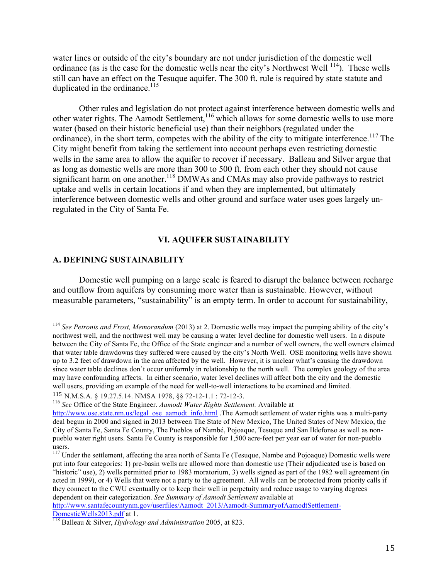water lines or outside of the city's boundary are not under jurisdiction of the domestic well ordinance (as is the case for the domestic wells near the city's Northwest Well  $^{114}$ ). These wells still can have an effect on the Tesuque aquifer. The 300 ft. rule is required by state statute and duplicated in the ordinance. $115$ 

Other rules and legislation do not protect against interference between domestic wells and other water rights. The Aamodt Settlement,<sup>116</sup> which allows for some domestic wells to use more water (based on their historic beneficial use) than their neighbors (regulated under the ordinance), in the short term, competes with the ability of the city to mitigate interference.<sup>117</sup> The City might benefit from taking the settlement into account perhaps even restricting domestic wells in the same area to allow the aquifer to recover if necessary. Balleau and Silver argue that as long as domestic wells are more than 300 to 500 ft. from each other they should not cause significant harm on one another.<sup>118</sup> DMWAs and CMAs may also provide pathways to restrict uptake and wells in certain locations if and when they are implemented, but ultimately interference between domestic wells and other ground and surface water uses goes largely unregulated in the City of Santa Fe.

## **VI. AQUIFER SUSTAINABILITY**

#### **A. DEFINING SUSTAINABILITY**

Domestic well pumping on a large scale is feared to disrupt the balance between recharge and outflow from aquifers by consuming more water than is sustainable. However, without measurable parameters, "sustainability" is an empty term. In order to account for sustainability,

 <sup>114</sup> *See Petronis and Frost, Memorandum* (2013) at 2. Domestic wells may impact the pumping ability of the city's northwest well, and the northwest well may be causing a water level decline for domestic well users. In a dispute between the City of Santa Fe, the Office of the State engineer and a number of well owners, the well owners claimed that water table drawdowns they suffered were caused by the city's North Well. OSE monitoring wells have shown up to 3.2 feet of drawdown in the area affected by the well. However, it is unclear what's causing the drawdown since water table declines don't occur uniformly in relationship to the north well. The complex geology of the area may have confounding affects. In either scenario, water level declines will affect both the city and the domestic well users, providing an example of the need for well-to-well interactions to be examined and limited.

<sup>115</sup> N.M.S.A. § 19.27.5.14. NMSA 1978, §§ 72-12-1.1 : 72-12-3.

<sup>116</sup> *See* Office of the State Engineer. *Aamodt Water Rights Settlement.* Available at

http://www.ose.state.nm.us/legal\_ose\_aamodt\_info.html .The Aamodt settlement of water rights was a multi-party deal begun in 2000 and signed in 2013 between The State of New Mexico, The United States of New Mexico, the City of Santa Fe, Santa Fe County, The Pueblos of Nambé, Pojoaque, Tesuque and San Ildefonso as well as nonpueblo water right users. Santa Fe County is responsible for 1,500 acre-feet per year ear of water for non-pueblo users.

<sup>&</sup>lt;sup>117</sup> Under the settlement, affecting the area north of Santa Fe (Tesuque, Nambe and Pojoaque) Domestic wells were put into four categories: 1) pre-basin wells are allowed more than domestic use (Their adjudicated use is based on "historic" use), 2) wells permitted prior to 1983 moratorium, 3) wells signed as part of the 1982 well agreement (in acted in 1999), or 4) Wells that were not a party to the agreement. All wells can be protected from priority calls if they connect to the CWU eventually or to keep their well in perpetuity and reduce usage to varying degrees dependent on their categorization. *See Summary of Aamodt Settlement* available at http://www.santafecountynm.gov/userfiles/Aamodt\_2013/Aamodt-SummaryofAamodtSettlement-

DomesticWells2013.pdf at 1. <sup>118</sup> Balleau & Silver, *Hydrology and Administration* 2005, at 823.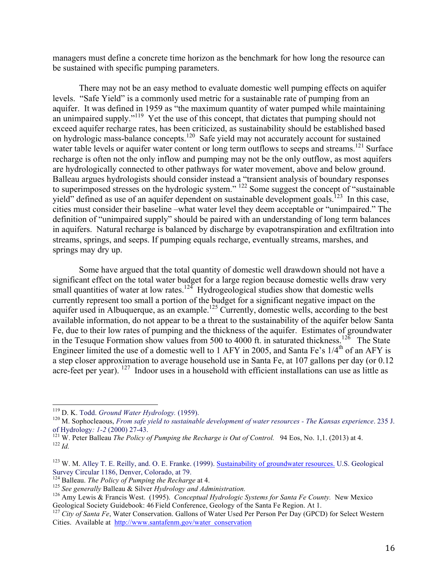managers must define a concrete time horizon as the benchmark for how long the resource can be sustained with specific pumping parameters.

There may not be an easy method to evaluate domestic well pumping effects on aquifer levels. "Safe Yield" is a commonly used metric for a sustainable rate of pumping from an aquifer. It was defined in 1959 as "the maximum quantity of water pumped while maintaining an unimpaired supply."<sup>119</sup> Yet the use of this concept, that dictates that pumping should not exceed aquifer recharge rates, has been criticized, as sustainability should be established based on hydrologic mass-balance concepts.<sup>120</sup> Safe yield may not accurately account for sustained water table levels or aquifer water content or long term outflows to seeps and streams.<sup>121</sup> Surface recharge is often not the only inflow and pumping may not be the only outflow, as most aquifers are hydrologically connected to other pathways for water movement, above and below ground. Balleau argues hydrologists should consider instead a "transient analysis of boundary responses to superimposed stresses on the hydrologic system." <sup>122</sup> Some suggest the concept of "sustainable" yield" defined as use of an aquifer dependent on sustainable development goals.<sup>123</sup> In this case, cities must consider their baseline –what water level they deem acceptable or "unimpaired." The definition of "unimpaired supply" should be paired with an understanding of long term balances in aquifers. Natural recharge is balanced by discharge by evapotranspiration and exfiltration into streams, springs, and seeps. If pumping equals recharge, eventually streams, marshes, and springs may dry up.

Some have argued that the total quantity of domestic well drawdown should not have a significant effect on the total water budget for a large region because domestic wells draw very small quantities of water at low rates.<sup>124</sup> Hydrogeological studies show that domestic wells currently represent too small a portion of the budget for a significant negative impact on the aquifer used in Albuquerque, as an example.<sup>125</sup> Currently, domestic wells, according to the best available information, do not appear to be a threat to the sustainability of the aquifer below Santa Fe, due to their low rates of pumping and the thickness of the aquifer. Estimates of groundwater in the Tesuque Formation show values from 500 to 4000 ft. in saturated thickness.<sup>126</sup> The State Engineer limited the use of a domestic well to 1 AFY in 2005, and Santa Fe's  $1/4<sup>th</sup>$  of an AFY is a step closer approximation to average household use in Santa Fe, at 107 gallons per day (or 0.12 acre-feet per year). <sup>127</sup> Indoor uses in a household with efficient installations can use as little as

<sup>&</sup>lt;sup>119</sup> D. K. Todd. *Ground Water Hydrology.* (1959).<br><sup>120</sup> M. Sophocleaous, *From safe yield to sustainable development of water resources - The Kansas experience. 235 J.* 

of Hydrology: 1-2 (2000) 27-43.<br><sup>121</sup> W. Peter Balleau *The Policy of Pumping the Recharge is Out of Control.* 94 Eos, No. 1,1. (2013) at 4.<br><sup>122</sup> *Id*.

<sup>&</sup>lt;sup>123</sup> W. M. Alley T. E. Reilly, and. O. E. Franke. (1999). **Sustainability of groundwater resources**. U.S. Geological Survey Circular 1186, Denver, Colorado, at 79.

<sup>&</sup>lt;sup>124</sup> Balleau. *The Policy of Pumping the Recharge* at 4.<br><sup>125</sup> See generally Balleau & Silver *Hydrology and Administration*.<br><sup>126</sup> Amy Lewis & Francis West. (1995). *Conceptual Hydrologic Systems for Santa Fe County*. N

Geological Society Guidebook: Guidebook: Gallons of Water Used Per Person Per Day (GPCD) for Select Western Cities. Available at http://www.santafenm.gov/water\_conservation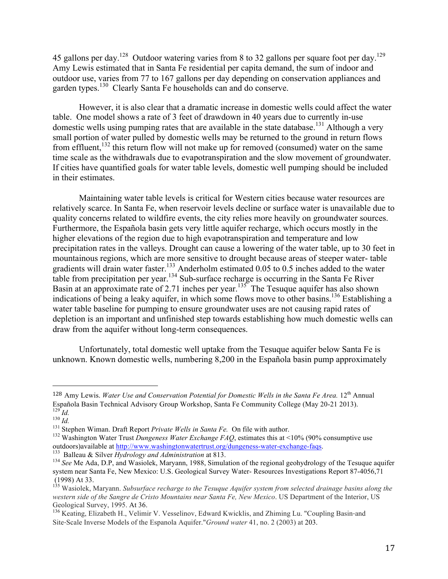45 gallons per day.<sup>128</sup> Outdoor watering varies from 8 to 32 gallons per square foot per day.<sup>129</sup> Amy Lewis estimated that in Santa Fe residential per capita demand, the sum of indoor and outdoor use, varies from 77 to 167 gallons per day depending on conservation appliances and garden types.<sup>130</sup> Clearly Santa Fe households can and do conserve.

However, it is also clear that a dramatic increase in domestic wells could affect the water table. One model shows a rate of 3 feet of drawdown in 40 years due to currently in-use domestic wells using pumping rates that are available in the state database.<sup>131</sup> Although a very small portion of water pulled by domestic wells may be returned to the ground in return flows from effluent,<sup>132</sup> this return flow will not make up for removed (consumed) water on the same time scale as the withdrawals due to evapotranspiration and the slow movement of groundwater. If cities have quantified goals for water table levels, domestic well pumping should be included in their estimates.

Maintaining water table levels is critical for Western cities because water resources are relatively scarce. In Santa Fe, when reservoir levels decline or surface water is unavailable due to quality concerns related to wildfire events, the city relies more heavily on groundwater sources. Furthermore, the Española basin gets very little aquifer recharge, which occurs mostly in the higher elevations of the region due to high evapotranspiration and temperature and low precipitation rates in the valleys. Drought can cause a lowering of the water table, up to 30 feet in mountainous regions, which are more sensitive to drought because areas of steeper water- table gradients will drain water faster.<sup>133</sup> Anderholm estimated 0.05 to 0.5 inches added to the water table from precipitation per year.<sup>134</sup> Sub-surface recharge is occurring in the Santa Fe River Basin at an approximate rate of 2.71 inches per year.<sup>135</sup> The Tesuque aquifer has also shown indications of being a leaky aquifer, in which some flows move to other basins. <sup>136</sup> Establishing a water table baseline for pumping to ensure groundwater uses are not causing rapid rates of depletion is an important and unfinished step towards establishing how much domestic wells can draw from the aquifer without long-term consequences.

Unfortunately, total domestic well uptake from the Tesuque aquifer below Santa Fe is unknown. Known domestic wells, numbering 8,200 in the Española basin pump approximately

 

<sup>&</sup>lt;sup>128</sup> Amy Lewis. *Water Use and Conservation Potential for Domestic Wells in the Santa Fe Area.* 12<sup>th</sup> Annual Española Basin Technical Advisory Group Workshop, Santa Fe Community College (May 20-21 2013).<br>
<sup>129</sup> *Id.*<br>
<sup>130</sup> *Id.*<br>
<sup>131</sup> Stephen Wiman. Draft Report *Private Wells in Santa Fe.* On file with author.<br>
<sup>132</sup> Washingt

<sup>&</sup>lt;sup>133</sup> Balleau & Silver *Hydrology and Administration* at 813.<br><sup>134</sup> See Me Ada, D.P., and Wasiolek, Maryann, 1988, Simulation of the regional geohydrology of the Tesuque aquifer system near Santa Fe, New Mexico: U.S. Geological Survey Water- Resources Investigations Report 87-4056,71 (1998) At 33.

<sup>135</sup> Wasiolek, Maryann. *Subsurface recharge to the Tesuque Aquifer system from selected drainage basins along the western side of the Sangre de Cristo Mountains near Santa Fe, New Mexico*. US Department of the Interior, US Geological Survey, 1995. At 36.

<sup>&</sup>lt;sup>136</sup> Keating, Elizabeth H., Velimir V. Vesselinov, Edward Kwicklis, and Zhiming Lu. "Coupling Basin-and Site‐Scale Inverse Models of the Espanola Aquifer."*Ground water* 41, no. 2 (2003) at 203.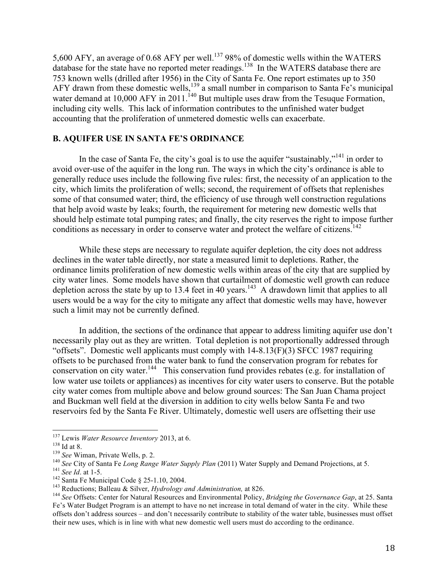5,600 AFY, an average of 0.68 AFY per well.<sup>137</sup> 98% of domestic wells within the WATERS database for the state have no reported meter readings.<sup>138</sup> In the WATERS database there are 753 known wells (drilled after 1956) in the City of Santa Fe. One report estimates up to 350 AFY drawn from these domestic wells,<sup>139</sup> a small number in comparison to Santa Fe's municipal water demand at  $10,000$  AFY in  $2011$ .<sup>140</sup> But multiple uses draw from the Tesuque Formation, including city wells. This lack of information contributes to the unfinished water budget accounting that the proliferation of unmetered domestic wells can exacerbate.

## **B. AQUIFER USE IN SANTA FE'S ORDINANCE**

In the case of Santa Fe, the city's goal is to use the aquifer "sustainably,"<sup>141</sup> in order to avoid over-use of the aquifer in the long run. The ways in which the city's ordinance is able to generally reduce uses include the following five rules: first, the necessity of an application to the city, which limits the proliferation of wells; second, the requirement of offsets that replenishes some of that consumed water; third, the efficiency of use through well construction regulations that help avoid waste by leaks; fourth, the requirement for metering new domestic wells that should help estimate total pumping rates; and finally, the city reserves the right to impose further conditions as necessary in order to conserve water and protect the welfare of citizens.<sup>142</sup>

While these steps are necessary to regulate aquifer depletion, the city does not address declines in the water table directly, nor state a measured limit to depletions. Rather, the ordinance limits proliferation of new domestic wells within areas of the city that are supplied by city water lines. Some models have shown that curtailment of domestic well growth can reduce depletion across the state by up to 13.4 feet in 40 years.<sup>143</sup> A drawdown limit that applies to all users would be a way for the city to mitigate any affect that domestic wells may have, however such a limit may not be currently defined.

In addition, the sections of the ordinance that appear to address limiting aquifer use don't necessarily play out as they are written. Total depletion is not proportionally addressed through "offsets". Domestic well applicants must comply with 14-8.13(F)(3) SFCC 1987 requiring offsets to be purchased from the water bank to fund the conservation program for rebates for conservation on city water.<sup>144</sup> This conservation fund provides rebates (e.g. for installation of low water use toilets or appliances) as incentives for city water users to conserve. But the potable city water comes from multiple above and below ground sources: The San Juan Chama project and Buckman well field at the diversion in addition to city wells below Santa Fe and two reservoirs fed by the Santa Fe River. Ultimately, domestic well users are offsetting their use

<sup>&</sup>lt;sup>137</sup> Lewis *Water Resource Inventory* 2013, at 6.<br><sup>139</sup> See Wiman, Private Wells, p. 2.<br><sup>140</sup> See City of Santa Fe *Long Range Water Supply Plan* (2011) Water Supply and Demand Projections, at 5.<br><sup>140</sup> See *City* of Sant Fe's Water Budget Program is an attempt to have no net increase in total demand of water in the city. While these offsets don't address sources – and don't necessarily contribute to stability of the water table, businesses must offset their new uses, which is in line with what new domestic well users must do according to the ordinance.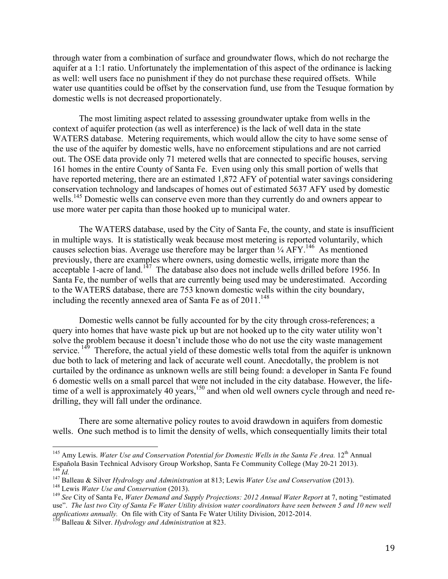through water from a combination of surface and groundwater flows, which do not recharge the aquifer at a 1:1 ratio. Unfortunately the implementation of this aspect of the ordinance is lacking as well: well users face no punishment if they do not purchase these required offsets. While water use quantities could be offset by the conservation fund, use from the Tesuque formation by domestic wells is not decreased proportionately.

The most limiting aspect related to assessing groundwater uptake from wells in the context of aquifer protection (as well as interference) is the lack of well data in the state WATERS database. Metering requirements, which would allow the city to have some sense of the use of the aquifer by domestic wells, have no enforcement stipulations and are not carried out. The OSE data provide only 71 metered wells that are connected to specific houses, serving 161 homes in the entire County of Santa Fe. Even using only this small portion of wells that have reported metering, there are an estimated 1,872 AFY of potential water savings considering conservation technology and landscapes of homes out of estimated 5637 AFY used by domestic wells.<sup>145</sup> Domestic wells can conserve even more than they currently do and owners appear to use more water per capita than those hooked up to municipal water.

The WATERS database, used by the City of Santa Fe, the county, and state is insufficient in multiple ways. It is statistically weak because most metering is reported voluntarily, which causes selection bias. Average use therefore may be larger than  $\frac{1}{4}$  AFY.<sup>146</sup> As mentioned previously, there are examples where owners, using domestic wells, irrigate more than the  $\alpha$  acceptable 1-acre of land.<sup>147</sup> The database also does not include wells drilled before 1956. In Santa Fe, the number of wells that are currently being used may be underestimated. According to the WATERS database, there are 753 known domestic wells within the city boundary, including the recently annexed area of Santa Fe as of 2011.<sup>148</sup>

Domestic wells cannot be fully accounted for by the city through cross-references; a query into homes that have waste pick up but are not hooked up to the city water utility won't solve the problem because it doesn't include those who do not use the city waste management service.  $149$  Therefore, the actual yield of these domestic wells total from the aquifer is unknown due both to lack of metering and lack of accurate well count. Anecdotally, the problem is not curtailed by the ordinance as unknown wells are still being found: a developer in Santa Fe found 6 domestic wells on a small parcel that were not included in the city database. However, the lifetime of a well is approximately 40 years,  $150$  and when old well owners cycle through and need redrilling, they will fall under the ordinance.

There are some alternative policy routes to avoid drawdown in aquifers from domestic wells. One such method is to limit the density of wells, which consequentially limits their total

<sup>&</sup>lt;sup>145</sup> Amy Lewis. *Water Use and Conservation Potential for Domestic Wells in the Santa Fe Area.* 12<sup>th</sup> Annual Española Basin Technical Advisory Group Workshop, Santa Fe Community College (May 20-21 2013). <sup>146</sup> Id.<br><sup>147</sup> Balleau & Silver Hydrology and Administration at 813; Lewis Water Use and Conservation (2013).<br><sup>148</sup> Lewis Water Use and Conservation (2013).<br><sup>149</sup> See City of Santa Fe, Water Demand and Supply Projections:

use". *The last two City of Santa Fe Water Utility division water coordinators have seen between 5 and 10 new well applications annually.* On file with City of Santa Fe Water Utility Division, 2012-2014. <sup>150</sup> Balleau & Silver. *Hydrology and Administration* at 823.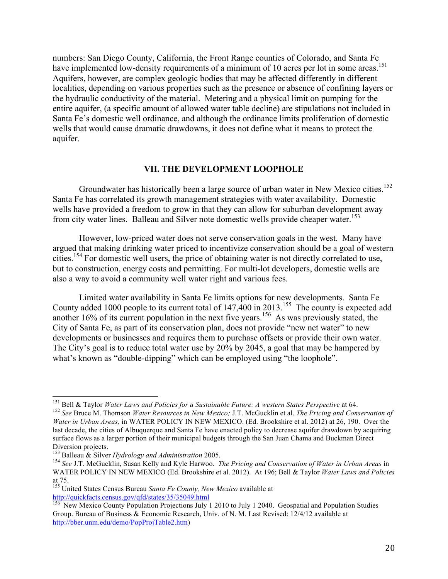numbers: San Diego County, California, the Front Range counties of Colorado, and Santa Fe have implemented low-density requirements of a minimum of 10 acres per lot in some areas.<sup>151</sup> Aquifers, however, are complex geologic bodies that may be affected differently in different localities, depending on various properties such as the presence or absence of confining layers or the hydraulic conductivity of the material. Metering and a physical limit on pumping for the entire aquifer, (a specific amount of allowed water table decline) are stipulations not included in Santa Fe's domestic well ordinance, and although the ordinance limits proliferation of domestic wells that would cause dramatic drawdowns, it does not define what it means to protect the aquifer.

## **VII. THE DEVELOPMENT LOOPHOLE**

Groundwater has historically been a large source of urban water in New Mexico cities.<sup>152</sup> Santa Fe has correlated its growth management strategies with water availability. Domestic wells have provided a freedom to grow in that they can allow for suburban development away from city water lines. Balleau and Silver note domestic wells provide cheaper water.<sup>153</sup>

However, low-priced water does not serve conservation goals in the west. Many have argued that making drinking water priced to incentivize conservation should be a goal of western cities.<sup>154</sup> For domestic well users, the price of obtaining water is not directly correlated to use, but to construction, energy costs and permitting. For multi-lot developers, domestic wells are also a way to avoid a community well water right and various fees.

Limited water availability in Santa Fe limits options for new developments. Santa Fe County added 1000 people to its current total of  $147,400$  in  $2013$ .<sup>155</sup> The county is expected add another  $16\%$  of its current population in the next five years.<sup>156</sup> As was previously stated, the City of Santa Fe, as part of its conservation plan, does not provide "new net water" to new developments or businesses and requires them to purchase offsets or provide their own water. The City's goal is to reduce total water use by 20% by 2045, a goal that may be hampered by what's known as "double-dipping" which can be employed using "the loophole".

<sup>&</sup>lt;sup>151</sup> Bell & Taylor *Water Laws and Policies for a Sustainable Future: A western States Perspective at 64.*<br><sup>152</sup> See Bruce M. Thomson *Water Resources in New Mexico: J.T. McGucklin et al. The Pricing and Conservation of* 

*Water in Urban Areas,* in WATER POLICY IN NEW MEXICO. (Ed. Brookshire et al. 2012) at 26, 190. Over the last decade, the cities of Albuquerque and Santa Fe have enacted policy to decrease aquifer drawdown by acquiring surface flows as a larger portion of their municipal budgets through the San Juan Chama and Buckman Direct Diversion projects. 153 Balleau & Silver *Hydrology and Administration* 2005. <sup>154</sup> *See* J.T. McGucklin, Susan Kelly and Kyle Harwoo. *The Pricing and Conservation of Water in Urban Areas* in

WATER POLICY IN NEW MEXICO (Ed. Brookshire et al. 2012). At 196; Bell & Taylor *Water Laws and Policies* at 75.

<sup>155</sup> United States Census Bureau *Santa Fe County, New Mexico* available at http://quickfacts.census.gov/qfd/states/35/35049.html

<sup>&</sup>lt;sup>156</sup> New Mexico County Population Projections July 1 2010 to July 1 2040. Geospatial and Population Studies Group. Bureau of Business & Economic Research, Univ. of N. M. Last Revised: 12/4/12 available at http://bber.unm.edu/demo/PopProjTable2.htm)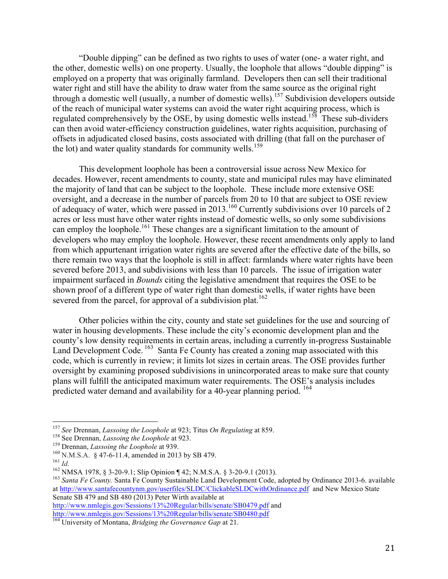"Double dipping" can be defined as two rights to uses of water (one- a water right, and the other, domestic wells) on one property. Usually, the loophole that allows "double dipping" is employed on a property that was originally farmland. Developers then can sell their traditional water right and still have the ability to draw water from the same source as the original right through a domestic well (usually, a number of domestic wells).157 Subdivision developers outside of the reach of municipal water systems can avoid the water right acquiring process, which is regulated comprehensively by the OSE, by using domestic wells instead.<sup>158</sup> These sub-dividers can then avoid water-efficiency construction guidelines, water rights acquisition, purchasing of offsets in adjudicated closed basins, costs associated with drilling (that fall on the purchaser of the lot) and water quality standards for community wells.<sup>159</sup>

This development loophole has been a controversial issue across New Mexico for decades. However, recent amendments to county, state and municipal rules may have eliminated the majority of land that can be subject to the loophole. These include more extensive OSE oversight, and a decrease in the number of parcels from 20 to 10 that are subject to OSE review of adequacy of water, which were passed in 2013.<sup>160</sup> Currently subdivisions over 10 parcels of 2 acres or less must have other water rights instead of domestic wells, so only some subdivisions can employ the loophole.<sup>161</sup> These changes are a significant limitation to the amount of developers who may employ the loophole. However, these recent amendments only apply to land from which appurtenant irrigation water rights are severed after the effective date of the bills, so there remain two ways that the loophole is still in affect: farmlands where water rights have been severed before 2013, and subdivisions with less than 10 parcels. The issue of irrigation water impairment surfaced in *Bounds* citing the legislative amendment that requires the OSE to be shown proof of a different type of water right than domestic wells, if water rights have been severed from the parcel, for approval of a subdivision plat.<sup>162</sup>

Other policies within the city, county and state set guidelines for the use and sourcing of water in housing developments. These include the city's economic development plan and the county's low density requirements in certain areas, including a currently in-progress Sustainable Land Development Code.<sup>163</sup> Santa Fe County has created a zoning map associated with this code, which is currently in review; it limits lot sizes in certain areas. The OSE provides further oversight by examining proposed subdivisions in unincorporated areas to make sure that county plans will fulfill the anticipated maximum water requirements. The OSE's analysis includes predicted water demand and availability for a 40-year planning period. 164

http://www.nmlegis.gov/Sessions/13%20Regular/bills/senate/SB0479.pdf and<br>http://www.nmlegis.gov/Sessions/13%20Regular/bills/senate/SB0480.pdf

<sup>&</sup>lt;sup>157</sup> See Drennan, *Lassoing the Loophole* at 923; Titus *On Regulating* at 859.<br><sup>158</sup> See Drennan, *Lassoing the Loophole* at 923.<br><sup>159</sup> Drennan, *Lassoing the Loophole* at 939.<br><sup>160</sup> N.M.S.A. § 47-6-11.4, amended in 201 at http://www.santafecountynm.gov/userfiles/SLDC/ClickableSLDCwithOrdinance.pdf and New Mexico State Senate SB 479 and SB 480 (2013) Peter Wirth available at

<sup>&</sup>lt;sup>164</sup> University of Montana, *Bridging the Governance Gap* at 21.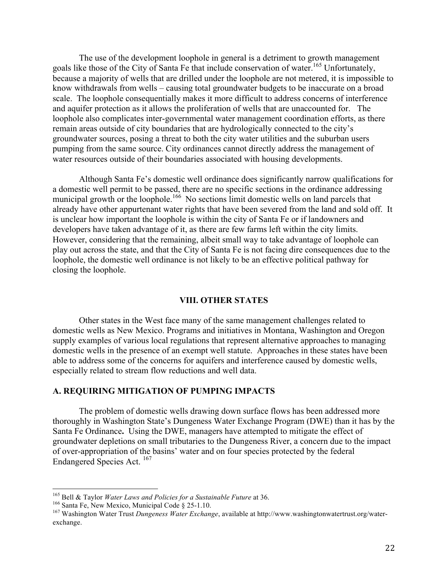The use of the development loophole in general is a detriment to growth management goals like those of the City of Santa Fe that include conservation of water.<sup>165</sup> Unfortunately, because a majority of wells that are drilled under the loophole are not metered, it is impossible to know withdrawals from wells – causing total groundwater budgets to be inaccurate on a broad scale. The loophole consequentially makes it more difficult to address concerns of interference and aquifer protection as it allows the proliferation of wells that are unaccounted for. The loophole also complicates inter-governmental water management coordination efforts, as there remain areas outside of city boundaries that are hydrologically connected to the city's groundwater sources, posing a threat to both the city water utilities and the suburban users pumping from the same source. City ordinances cannot directly address the management of water resources outside of their boundaries associated with housing developments.

Although Santa Fe's domestic well ordinance does significantly narrow qualifications for a domestic well permit to be passed, there are no specific sections in the ordinance addressing municipal growth or the loophole.<sup>166</sup> No sections limit domestic wells on land parcels that already have other appurtenant water rights that have been severed from the land and sold off. It is unclear how important the loophole is within the city of Santa Fe or if landowners and developers have taken advantage of it, as there are few farms left within the city limits. However, considering that the remaining, albeit small way to take advantage of loophole can play out across the state, and that the City of Santa Fe is not facing dire consequences due to the loophole, the domestic well ordinance is not likely to be an effective political pathway for closing the loophole.

#### **VIII. OTHER STATES**

Other states in the West face many of the same management challenges related to domestic wells as New Mexico. Programs and initiatives in Montana, Washington and Oregon supply examples of various local regulations that represent alternative approaches to managing domestic wells in the presence of an exempt well statute. Approaches in these states have been able to address some of the concerns for aquifers and interference caused by domestic wells, especially related to stream flow reductions and well data.

## **A. REQUIRING MITIGATION OF PUMPING IMPACTS**

The problem of domestic wells drawing down surface flows has been addressed more thoroughly in Washington State's Dungeness Water Exchange Program (DWE) than it has by the Santa Fe Ordinance**.** Using the DWE, managers have attempted to mitigate the effect of groundwater depletions on small tributaries to the Dungeness River, a concern due to the impact of over-appropriation of the basins' water and on four species protected by the federal Endangered Species Act. 167

<sup>&</sup>lt;sup>165</sup> Bell & Taylor *Water Laws and Policies for a Sustainable Future* at 36.<br><sup>166</sup> Santa Fe, New Mexico, Municipal Code § 25-1.10.<br><sup>167</sup> Washington Water Trust *Dungeness Water Exchange*, available at http://www.washingt exchange.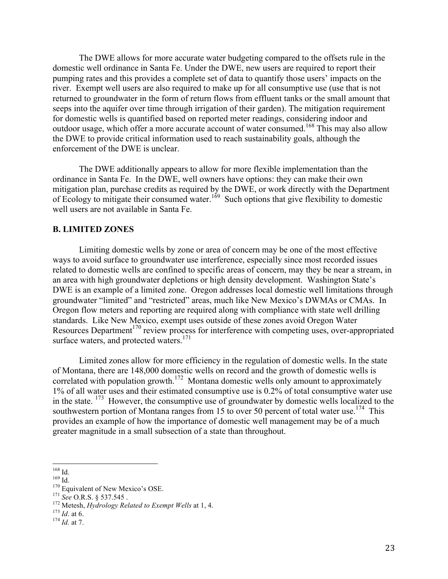The DWE allows for more accurate water budgeting compared to the offsets rule in the domestic well ordinance in Santa Fe. Under the DWE, new users are required to report their pumping rates and this provides a complete set of data to quantify those users' impacts on the river. Exempt well users are also required to make up for all consumptive use (use that is not returned to groundwater in the form of return flows from effluent tanks or the small amount that seeps into the aquifer over time through irrigation of their garden). The mitigation requirement for domestic wells is quantified based on reported meter readings, considering indoor and outdoor usage, which offer a more accurate account of water consumed.<sup>168</sup> This may also allow the DWE to provide critical information used to reach sustainability goals, although the enforcement of the DWE is unclear.

The DWE additionally appears to allow for more flexible implementation than the ordinance in Santa Fe. In the DWE, well owners have options: they can make their own mitigation plan, purchase credits as required by the DWE, or work directly with the Department of Ecology to mitigate their consumed water.<sup>169</sup> Such options that give flexibility to domestic well users are not available in Santa Fe.

## **B. LIMITED ZONES**

Limiting domestic wells by zone or area of concern may be one of the most effective ways to avoid surface to groundwater use interference, especially since most recorded issues related to domestic wells are confined to specific areas of concern, may they be near a stream, in an area with high groundwater depletions or high density development. Washington State's DWE is an example of a limited zone. Oregon addresses local domestic well limitations through groundwater "limited" and "restricted" areas, much like New Mexico's DWMAs or CMAs. In Oregon flow meters and reporting are required along with compliance with state well drilling standards. Like New Mexico, exempt uses outside of these zones avoid Oregon Water Resources Department<sup>170</sup> review process for interference with competing uses, over-appropriated surface waters, and protected waters. $171$ 

Limited zones allow for more efficiency in the regulation of domestic wells. In the state of Montana, there are 148,000 domestic wells on record and the growth of domestic wells is correlated with population growth.<sup>172</sup> Montana domestic wells only amount to approximately 1% of all water uses and their estimated consumptive use is 0.2% of total consumptive water use in the state. <sup>173</sup> However, the consumptive use of groundwater by domestic wells localized to the southwestern portion of Montana ranges from 15 to over 50 percent of total water use.<sup>174</sup> This provides an example of how the importance of domestic well management may be of a much greater magnitude in a small subsection of a state than throughout.

<sup>168</sup> Id.<br>
<sup>169</sup> Id.<br>
<sup>170</sup> Equivalent of New Mexico's OSE.<br>
<sup>171</sup> *See* O.R.S. § 537.545 .<br>
<sup>172</sup> Metesh, *Hydrology Related to Exempt Wells* at 1, 4.<br>
<sup>173</sup> *Id.* at 6.<br>
<sup>174</sup> *Id.* at 7.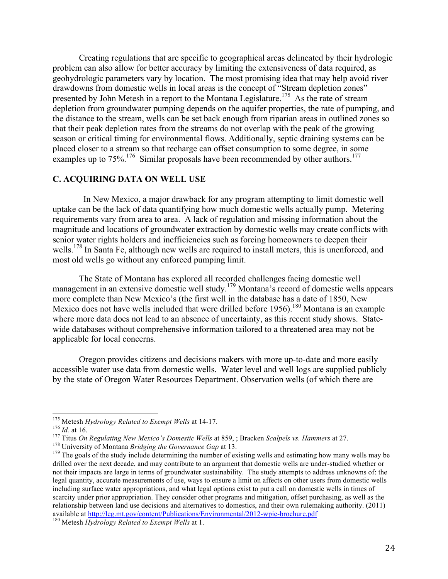Creating regulations that are specific to geographical areas delineated by their hydrologic problem can also allow for better accuracy by limiting the extensiveness of data required, as geohydrologic parameters vary by location. The most promising idea that may help avoid river drawdowns from domestic wells in local areas is the concept of "Stream depletion zones" presented by John Metesh in a report to the Montana Legislature.<sup>175</sup> As the rate of stream depletion from groundwater pumping depends on the aquifer properties, the rate of pumping, and the distance to the stream, wells can be set back enough from riparian areas in outlined zones so that their peak depletion rates from the streams do not overlap with the peak of the growing season or critical timing for environmental flows. Additionally, septic draining systems can be placed closer to a stream so that recharge can offset consumption to some degree, in some examples up to  $75\%$ .<sup>176</sup> Similar proposals have been recommended by other authors.<sup>177</sup>

## **C. ACQUIRING DATA ON WELL USE**

 In New Mexico, a major drawback for any program attempting to limit domestic well uptake can be the lack of data quantifying how much domestic wells actually pump. Metering requirements vary from area to area. A lack of regulation and missing information about the magnitude and locations of groundwater extraction by domestic wells may create conflicts with senior water rights holders and inefficiencies such as forcing homeowners to deepen their wells.<sup>178</sup> In Santa Fe, although new wells are required to install meters, this is unenforced, and most old wells go without any enforced pumping limit.

The State of Montana has explored all recorded challenges facing domestic well management in an extensive domestic well study.<sup>179</sup> Montana's record of domestic wells appears more complete than New Mexico's (the first well in the database has a date of 1850, New Mexico does not have wells included that were drilled before 1956).<sup>180</sup> Montana is an example where more data does not lead to an absence of uncertainty, as this recent study shows. Statewide databases without comprehensive information tailored to a threatened area may not be applicable for local concerns.

Oregon provides citizens and decisions makers with more up-to-date and more easily accessible water use data from domestic wells. Water level and well logs are supplied publicly by the state of Oregon Water Resources Department. Observation wells (of which there are

<sup>&</sup>lt;sup>175</sup> Metesh *Hydrology Related to Exempt Wells* at 14-17.<br><sup>176</sup> *Id.* at 16.<br><sup>176</sup> *Id.* at 16.<br><sup>177</sup> Titus *On Regulating New Mexico's Domestic Wells* at 859, ; Bracken *Scalpels vs. Hammers* at 27.<br><sup>178</sup> University of drilled over the next decade, and may contribute to an argument that domestic wells are under-studied whether or not their impacts are large in terms of groundwater sustainability. The study attempts to address unknowns of: the legal quantity, accurate measurements of use, ways to ensure a limit on affects on other users from domestic wells including surface water appropriations, and what legal options exist to put a call on domestic wells in times of scarcity under prior appropriation. They consider other programs and mitigation, offset purchasing, as well as the relationship between land use decisions and alternatives to domestics, and their own rulemaking authority. (2011) available at http://leg.mt.gov/content/Publications/Environmental/2012-wpic-brochure.pdf <sup>180</sup> Metesh *Hydrology Related to Exempt Wells* at 1.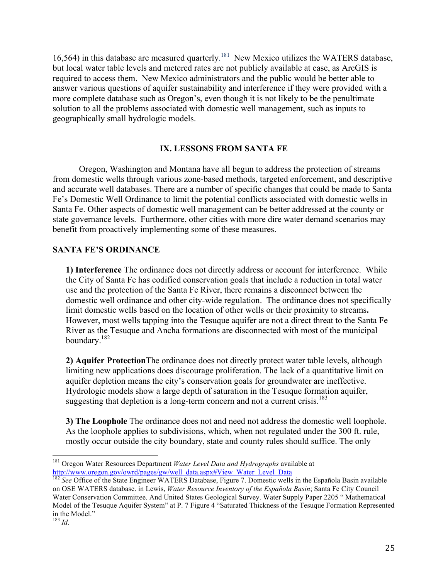16,564) in this database are measured quarterly.<sup>181</sup> New Mexico utilizes the WATERS database, but local water table levels and metered rates are not publicly available at ease, as ArcGIS is required to access them. New Mexico administrators and the public would be better able to answer various questions of aquifer sustainability and interference if they were provided with a more complete database such as Oregon's, even though it is not likely to be the penultimate solution to all the problems associated with domestic well management, such as inputs to geographically small hydrologic models.

## **IX. LESSONS FROM SANTA FE**

Oregon, Washington and Montana have all begun to address the protection of streams from domestic wells through various zone-based methods, targeted enforcement, and descriptive and accurate well databases. There are a number of specific changes that could be made to Santa Fe's Domestic Well Ordinance to limit the potential conflicts associated with domestic wells in Santa Fe. Other aspects of domestic well management can be better addressed at the county or state governance levels. Furthermore, other cities with more dire water demand scenarios may benefit from proactively implementing some of these measures.

## **SANTA FE'S ORDINANCE**

**1) Interference** The ordinance does not directly address or account for interference. While the City of Santa Fe has codified conservation goals that include a reduction in total water use and the protection of the Santa Fe River, there remains a disconnect between the domestic well ordinance and other city-wide regulation. The ordinance does not specifically limit domestic wells based on the location of other wells or their proximity to streams**.**  However, most wells tapping into the Tesuque aquifer are not a direct threat to the Santa Fe River as the Tesuque and Ancha formations are disconnected with most of the municipal boundary.182

**2) Aquifer Protection**The ordinance does not directly protect water table levels, although limiting new applications does discourage proliferation. The lack of a quantitative limit on aquifer depletion means the city's conservation goals for groundwater are ineffective. Hydrologic models show a large depth of saturation in the Tesuque formation aquifer, suggesting that depletion is a long-term concern and not a current crisis.<sup>183</sup>

**3) The Loophole** The ordinance does not and need not address the domestic well loophole. As the loophole applies to subdivisions, which, when not regulated under the 300 ft. rule, mostly occur outside the city boundary, state and county rules should suffice. The only

 <sup>181</sup> Oregon Water Resources Department *Water Level Data and Hydrographs* available at http://www.oregon.gov/owrd/pages/gw/well\_data.aspx#View\_Water\_Level\_Data

<sup>&</sup>lt;sup>182</sup> See Office of the State Engineer WATERS Database, Figure 7. Domestic wells in the Española Basin available on OSE WATERS database. in Lewis, *Water Resource Inventory of the Española Basin*; Santa Fe City Council Water Conservation Committee. And United States Geological Survey. Water Supply Paper 2205 " Mathematical Model of the Tesuque Aquifer System" at P. 7 Figure 4 "Saturated Thickness of the Tesuque Formation Represented in the Model." <sup>183</sup> *Id*.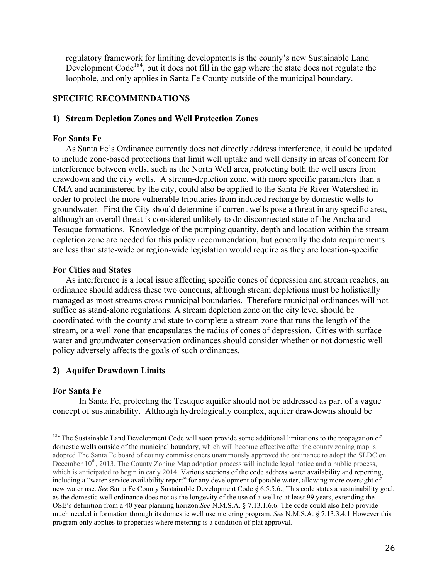regulatory framework for limiting developments is the county's new Sustainable Land Development Code<sup>184</sup>, but it does not fill in the gap where the state does not regulate the loophole, and only applies in Santa Fe County outside of the municipal boundary.

## **SPECIFIC RECOMMENDATIONS**

## **1) Stream Depletion Zones and Well Protection Zones**

#### **For Santa Fe**

As Santa Fe's Ordinance currently does not directly address interference, it could be updated to include zone-based protections that limit well uptake and well density in areas of concern for interference between wells, such as the North Well area, protecting both the well users from drawdown and the city wells. A stream-depletion zone, with more specific parameters than a CMA and administered by the city, could also be applied to the Santa Fe River Watershed in order to protect the more vulnerable tributaries from induced recharge by domestic wells to groundwater. First the City should determine if current wells pose a threat in any specific area, although an overall threat is considered unlikely to do disconnected state of the Ancha and Tesuque formations. Knowledge of the pumping quantity, depth and location within the stream depletion zone are needed for this policy recommendation, but generally the data requirements are less than state-wide or region-wide legislation would require as they are location-specific.

### **For Cities and States**

As interference is a local issue affecting specific cones of depression and stream reaches, an ordinance should address these two concerns, although stream depletions must be holistically managed as most streams cross municipal boundaries. Therefore municipal ordinances will not suffice as stand-alone regulations. A stream depletion zone on the city level should be coordinated with the county and state to complete a stream zone that runs the length of the stream, or a well zone that encapsulates the radius of cones of depression. Cities with surface water and groundwater conservation ordinances should consider whether or not domestic well policy adversely affects the goals of such ordinances.

## **2) Aquifer Drawdown Limits**

## **For Santa Fe**

In Santa Fe, protecting the Tesuque aquifer should not be addressed as part of a vague concept of sustainability. Although hydrologically complex, aquifer drawdowns should be

<sup>&</sup>lt;sup>184</sup> The Sustainable Land Development Code will soon provide some additional limitations to the propagation of domestic wells outside of the municipal boundary, which will become effective after the county zoning map is adopted The Santa Fe board of county commissioners unanimously approved the ordinance to adopt the SLDC on December  $10<sup>th</sup>$ , 2013. The County Zoning Map adoption process will include legal notice and a public process, which is anticipated to begin in early 2014. Various sections of the code address water availability and reporting, including a "water service availability report" for any development of potable water, allowing more oversight of new water use. *See* Santa Fe County Sustainable Development Code § 6.5.5.6., This code states a sustainability goal, as the domestic well ordinance does not as the longevity of the use of a well to at least 99 years, extending the OSE's definition from a 40 year planning horizon.*See* N.M.S.A. § 7.13.1.6.6. The code could also help provide much needed information through its domestic well use metering program. *See* N.M.S.A. § 7.13.3.4.1 However this program only applies to properties where metering is a condition of plat approval.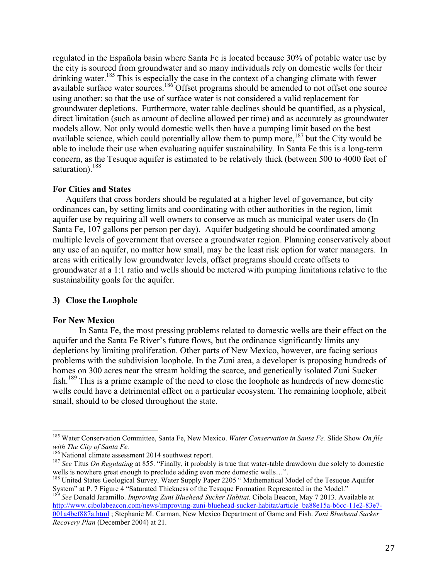regulated in the Española basin where Santa Fe is located because 30% of potable water use by the city is sourced from groundwater and so many individuals rely on domestic wells for their drinking water.<sup>185</sup> This is especially the case in the context of a changing climate with fewer available surface water sources.<sup>186</sup> Offset programs should be amended to not offset one source using another: so that the use of surface water is not considered a valid replacement for groundwater depletions. Furthermore, water table declines should be quantified, as a physical, direct limitation (such as amount of decline allowed per time) and as accurately as groundwater models allow. Not only would domestic wells then have a pumping limit based on the best available science, which could potentially allow them to pump more, $187$  but the City would be able to include their use when evaluating aquifer sustainability*.* In Santa Fe this is a long-term concern, as the Tesuque aquifer is estimated to be relatively thick (between 500 to 4000 feet of saturation).<sup>188</sup>

#### **For Cities and States**

Aquifers that cross borders should be regulated at a higher level of governance, but city ordinances can, by setting limits and coordinating with other authorities in the region, limit aquifer use by requiring all well owners to conserve as much as municipal water users do (In Santa Fe, 107 gallons per person per day). Aquifer budgeting should be coordinated among multiple levels of government that oversee a groundwater region. Planning conservatively about any use of an aquifer, no matter how small, may be the least risk option for water managers. In areas with critically low groundwater levels, offset programs should create offsets to groundwater at a 1:1 ratio and wells should be metered with pumping limitations relative to the sustainability goals for the aquifer.

## **3) Close the Loophole**

#### **For New Mexico**

In Santa Fe, the most pressing problems related to domestic wells are their effect on the aquifer and the Santa Fe River's future flows, but the ordinance significantly limits any depletions by limiting proliferation. Other parts of New Mexico, however, are facing serious problems with the subdivision loophole. In the Zuni area, a developer is proposing hundreds of homes on 300 acres near the stream holding the scarce, and genetically isolated Zuni Sucker fish.<sup>189</sup> This is a prime example of the need to close the loophole as hundreds of new domestic wells could have a detrimental effect on a particular ecosystem. The remaining loophole, albeit small, should to be closed throughout the state.

 <sup>185</sup> Water Conservation Committee, Santa Fe, New Mexico. *Water Conservation in Santa Fe.* Slide Show *On file with The City of Santa Fe.*

<sup>&</sup>lt;sup>187</sup> See Titus *On Regulating* at 855. "Finally, it probably is true that water-table drawdown due solely to domestic wells is nowhere great enough to preclude adding even more domestic wells...".

<sup>&</sup>lt;sup>188</sup> United States Geological Survey. Water Supply Paper 2205 " Mathematical Model of the Tesuque Aquifer System" at P. 7 Figure 4 "Saturated Thickness of the Tesuque Formation Represented in the Model." <sup>189</sup> *See* Donald Jaramillo. *Improving Zuni Bluehead Sucker Habitat.* Cibola Beacon, May 7 2013. Available at

http://www.cibolabeacon.com/news/improving-zuni-bluehead-sucker-habitat/article\_ba88e15a-b6cc-11e2-83e7-001a4bcf887a.html ; Stephanie M. Carman, New Mexico Department of Game and Fish. *Zuni Bluehead Sucker Recovery Plan* (December 2004) at 21.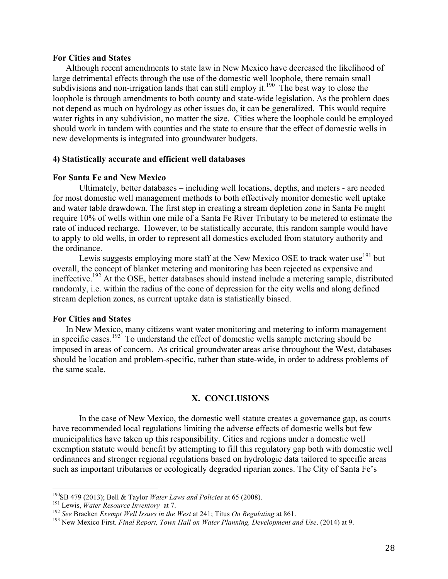#### **For Cities and States**

Although recent amendments to state law in New Mexico have decreased the likelihood of large detrimental effects through the use of the domestic well loophole, there remain small subdivisions and non-irrigation lands that can still employ it.<sup>190</sup> The best way to close the loophole is through amendments to both county and state-wide legislation. As the problem does not depend as much on hydrology as other issues do, it can be generalized. This would require water rights in any subdivision, no matter the size. Cities where the loophole could be employed should work in tandem with counties and the state to ensure that the effect of domestic wells in new developments is integrated into groundwater budgets.

#### **4) Statistically accurate and efficient well databases**

## **For Santa Fe and New Mexico**

Ultimately, better databases – including well locations, depths, and meters - are needed for most domestic well management methods to both effectively monitor domestic well uptake and water table drawdown. The first step in creating a stream depletion zone in Santa Fe might require 10% of wells within one mile of a Santa Fe River Tributary to be metered to estimate the rate of induced recharge. However, to be statistically accurate, this random sample would have to apply to old wells, in order to represent all domestics excluded from statutory authority and the ordinance.

Lewis suggests employing more staff at the New Mexico OSE to track water use<sup>191</sup> but overall, the concept of blanket metering and monitoring has been rejected as expensive and ineffective.192 At the OSE, better databases should instead include a metering sample, distributed randomly, i.e. within the radius of the cone of depression for the city wells and along defined stream depletion zones, as current uptake data is statistically biased.

#### **For Cities and States**

In New Mexico, many citizens want water monitoring and metering to inform management in specific cases.<sup>193</sup> To understand the effect of domestic wells sample metering should be imposed in areas of concern. As critical groundwater areas arise throughout the West, databases should be location and problem-specific, rather than state-wide, in order to address problems of the same scale.

## **X. CONCLUSIONS**

In the case of New Mexico, the domestic well statute creates a governance gap, as courts have recommended local regulations limiting the adverse effects of domestic wells but few municipalities have taken up this responsibility. Cities and regions under a domestic well exemption statute would benefit by attempting to fill this regulatory gap both with domestic well ordinances and stronger regional regulations based on hydrologic data tailored to specific areas such as important tributaries or ecologically degraded riparian zones. The City of Santa Fe's

<sup>&</sup>lt;sup>190</sup>SB 479 (2013); Bell & Taylor *Water Laws and Policies* at 65 (2008).<br><sup>191</sup> Lewis, *Water Resource Inventory* at 7.<br><sup>192</sup> See Bracken *Exempt Well Issues in the West* at 241; Titus *On Regulating* at 861.<br><sup>193</sup> New Me